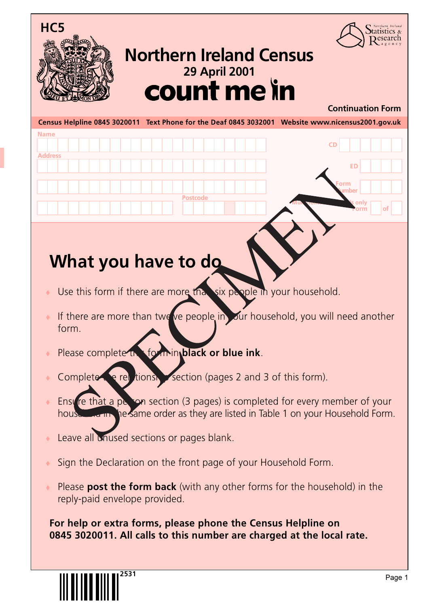

**Name CD**

## **What you have to do**

**Address**

Use this form if there are more than six people in your household.

**Postcode**

- If there are more than twe ve people in your household, you will need another form.
- Please complete the form in **black or blue ink**.
- **Complete the relationship section (pages 2 and 3 of this form).**
- Ensure that a person section (3 pages) is completed for every member of your house we are he same order as they are listed in Table 1 on your Household Form.
- Leave all unused sections or pages blank.
- Sign the Declaration on the front page of your Household Form.
- Please **post the form back** (with any other forms for the household) in the reply-paid envelope provided.

**For help or extra forms, please phone the Census Helpline on 0845 3020011. All calls to this number are charged at the local rate.**



**ED**

**Form** of

**Form Number**

**Multi-form households only**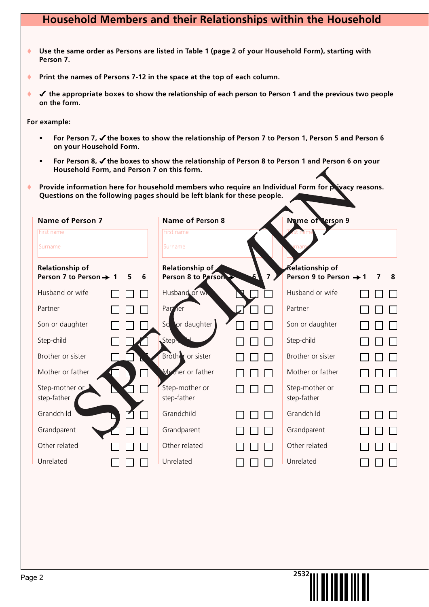## **Household Members and their Relationships within the Household**

- ◆ Use the same order as Persons are listed in Table 1 (page 2 of your Household Form), starting with **Person 7.**
- Print the names of Persons 7-12 in the space at the top of each column.
- **↓** ◆ the appropriate boxes to show the relationship of each person to Person 1 and the previous two people **on the form.**

**For example:**

- **For Person 7,** 4**the boxes to show the relationship of Person 7 to Person 1, Person 5 and Person 6 on your Household Form.**
- **For Person 8,** 4**the boxes to show the relationship of Person 8 to Person 1 and Person 6 on your Household Form, and Person 7 on this form.**
- **The Provide information here for household members who require an Individual Form for privacy reasons. Questions on the following pages should be left blank for these people.**

| <b>Name of Person 7</b>                   |  |   | <b>Name of Person 8</b> |                                       | Name of <b>Rerson 9</b>        |                                           |        |  |
|-------------------------------------------|--|---|-------------------------|---------------------------------------|--------------------------------|-------------------------------------------|--------|--|
| First name                                |  |   |                         | First name                            |                                |                                           |        |  |
| Surname                                   |  |   |                         | Surname                               |                                |                                           |        |  |
| Relationship of<br>Person 7 to Person → 1 |  | 5 | 6                       | Relationship of<br>Person 8 to Person | $\mathbf{F}$<br>7 <sub>2</sub> | Relationship of<br>Person 9 to Person → 1 | 7<br>8 |  |
| Husband or wife                           |  |   |                         | Husband or wh                         |                                | Husband or wife                           |        |  |
| Partner                                   |  |   |                         | Part <sub>ner</sub>                   |                                | Partner                                   |        |  |
| Son or daughter                           |  |   |                         | or daughter<br>$S_{0}$                |                                | Son or daughter                           |        |  |
| Step-child                                |  |   |                         | Step <sup>1</sup>                     |                                | Step-child                                |        |  |
| Brother or sister                         |  |   |                         | Brother or sister                     |                                | Brother or sister                         |        |  |
| Mother or father                          |  |   |                         | Mether or father                      |                                | Mother or father                          |        |  |
| Step-mother or<br>step-father             |  |   |                         | Step-mother or<br>step-father         |                                | Step-mother or<br>step-father             |        |  |
| Grandchild                                |  |   |                         | Grandchild                            |                                | Grandchild                                |        |  |
| Grandparent                               |  |   |                         | Grandparent                           |                                | Grandparent                               |        |  |
| Other related                             |  |   |                         | Other related                         |                                | Other related                             |        |  |
| Unrelated                                 |  |   |                         | Unrelated                             |                                | Unrelated                                 |        |  |

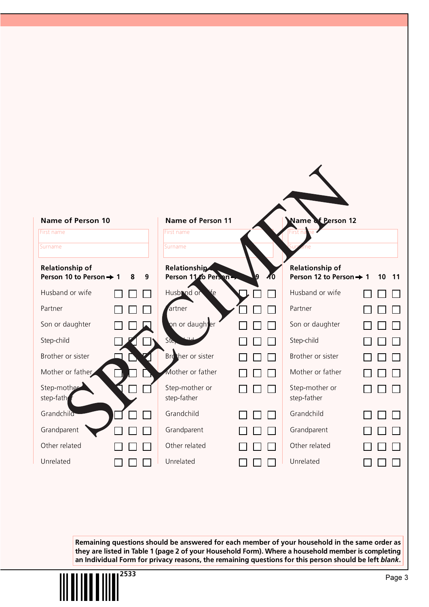| <b>Name of Person 10</b><br>First name            |        | <b>Name of Person 11</b><br>First name     |                 | Name of Person 12                          |          |
|---------------------------------------------------|--------|--------------------------------------------|-----------------|--------------------------------------------|----------|
| Surname                                           |        | Surname                                    |                 |                                            |          |
| <b>Relationship of</b><br>Person 10 to Person → 1 | 9<br>8 | <b>Relationship</b><br>Person 11 to Person | $\sqrt{0}$<br>q | Relationship of<br>Person 12 to Person → 1 | 10<br>11 |
| Husband or wife                                   |        | Husband or<br>ćΡ                           |                 | Husband or wife                            |          |
| Partner                                           |        | artner                                     |                 | Partner                                    |          |
| Son or daughter                                   |        | on or daughter                             |                 | Son or daughter                            |          |
| Step-child                                        |        | Ste                                        |                 | Step-child                                 |          |
| Brother or sister                                 |        | Bro ther or sister                         |                 | Brother or sister                          |          |
| Mother or father                                  |        | Mother or father                           |                 | Mother or father                           |          |
| Step-mother<br>step-fath                          |        | Step-mother or<br>step-father              |                 | Step-mother or<br>step-father              |          |
| Grandchild                                        |        | Grandchild                                 |                 | Grandchild                                 |          |
| Grandparent                                       |        | Grandparent                                |                 | Grandparent                                |          |
| Other related                                     |        | Other related                              |                 | Other related                              |          |
| Unrelated                                         |        | Unrelated                                  |                 | Unrelated                                  |          |

**Remaining questions should be answered for each member of your household in the same order as they are listed in Table 1 (page 2 of your Household Form). Where a household member is completing an Individual Form for privacy reasons, the remaining questions for this person should be left** *blank***.**

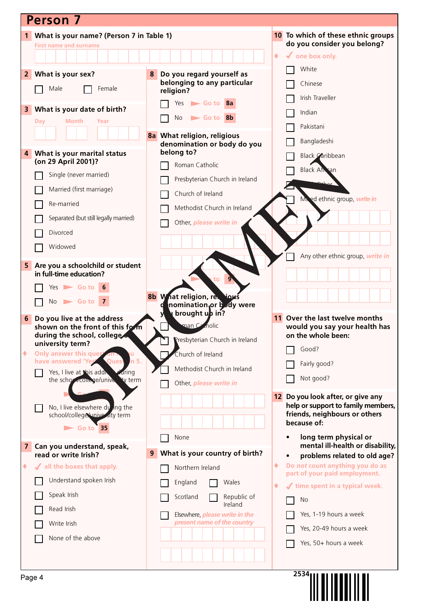| <b>Person 7</b>                                                               |                                                                |                                                                       |
|-------------------------------------------------------------------------------|----------------------------------------------------------------|-----------------------------------------------------------------------|
| What is your name? (Person 7 in Table 1)<br>1                                 |                                                                | 10 To which of these ethnic groups                                    |
| <b>First name and surname</b>                                                 |                                                                | do you consider you belong?                                           |
|                                                                               |                                                                | ۰<br>◆ one box only.                                                  |
| What is your sex?<br>$\overline{2}$                                           | Do you regard yourself as<br>8                                 | White                                                                 |
| Male<br>Female                                                                | belonging to any particular<br>religion?                       | Chinese                                                               |
| What is your date of birth?<br>3                                              | Go to 8a<br>Yes                                                | Irish Traveller                                                       |
| <b>Month</b><br>Day<br>Year                                                   | Go to 8b<br>No                                                 | Indian                                                                |
|                                                                               | 8a What religion, religious                                    | Pakistani                                                             |
|                                                                               | denomination or body do you                                    | Bangladeshi                                                           |
| What is your marital status<br>4<br>(on 29 April 2001)?                       | belong to?<br>Roman Catholic                                   | Black Caribbean                                                       |
| Single (never married)                                                        |                                                                | Black Afran                                                           |
| Married (first marriage)                                                      | Presbyterian Church in Ireland                                 |                                                                       |
| Re-married                                                                    | Church of Ireland                                              | Moed ethnic group, write in                                           |
| Separated (but still legally married)                                         | Methodist Church in Ireland                                    |                                                                       |
| Divorced                                                                      | Other, please write in                                         |                                                                       |
| Widowed                                                                       |                                                                |                                                                       |
|                                                                               |                                                                | Any other ethnic group, write in                                      |
| Are you a schoolchild or student<br>5<br>in full-time education?              |                                                                |                                                                       |
| $Yes$ Go to 6                                                                 | to                                                             |                                                                       |
| $No \rightharpoonup Go$ to 7                                                  | 8b What religion, revious                                      |                                                                       |
| Do you live at the address<br>6                                               | nomination or body were<br>reformulation by the body in ?<br>Ŋ | 11 Over the last twelve months                                        |
| shown on the front of this form                                               | man Canolic                                                    | would you say your health has                                         |
| during the school, college<br>university term?                                | Presbyterian Church in Ireland                                 | on the whole been:                                                    |
| <b>Only answer this quest</b><br>٠<br>u<br>have answered 'Yes'                | Church of Ireland                                              | Good?                                                                 |
| Quest<br>n 5.<br>Yes, I live at this add<br>dring                             | Methodist Church in Ireland                                    | Fairly good?                                                          |
| the school concrete/unive<br>ty term                                          | Other, please write in                                         | Not good?                                                             |
|                                                                               |                                                                | 12 Do you look after, or give any                                     |
| No, I live elsewhere during the<br>school/college/unive sity term             |                                                                | help or support to family members,<br>friends, neighbours or others   |
| $\triangleright$ Go to 35                                                     |                                                                | because of:                                                           |
|                                                                               | None                                                           | long term physical or<br>mental ill-health or disability,             |
| Can you understand, speak,<br>$\overline{\mathbf{z}}$<br>read or write Irish? | What is your country of birth?<br>9                            | problems related to old age?<br>$\bullet$                             |
| If all the boxes that apply.<br>٠                                             | Northern Ireland                                               | Do not count anything you do as<br>٠<br>part of your paid employment. |
| Understand spoken Irish                                                       | England<br>Wales                                               | time spent in a typical week.<br>٠                                    |
| Speak Irish                                                                   | Republic of<br>Scotland                                        | No                                                                    |
| Read Irish                                                                    | Ireland<br>Elsewhere, please write in the                      | Yes, 1-19 hours a week                                                |
| Write Irish                                                                   | present name of the country                                    | Yes, 20-49 hours a week                                               |
| None of the above                                                             |                                                                | Yes, 50+ hours a week                                                 |
|                                                                               |                                                                |                                                                       |
|                                                                               |                                                                | 2534                                                                  |
| Page 4                                                                        |                                                                |                                                                       |
|                                                                               |                                                                |                                                                       |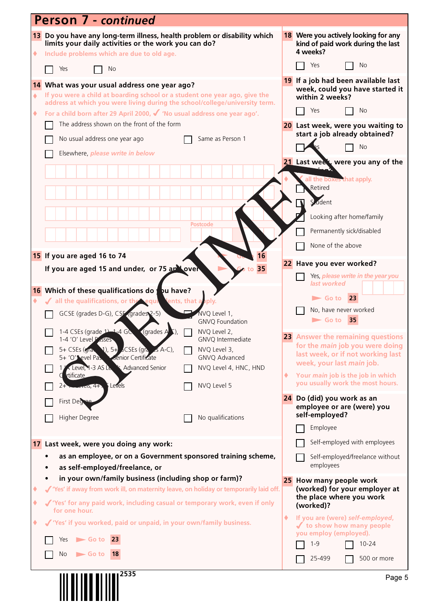|                 | <b>Person 7 - continued</b>                                                                                                                                                    |                                        |   |                                                                                       |
|-----------------|--------------------------------------------------------------------------------------------------------------------------------------------------------------------------------|----------------------------------------|---|---------------------------------------------------------------------------------------|
| ۰               | 13 Do you have any long-term illness, health problem or disability which<br>limits your daily activities or the work you can do?<br>Include problems which are due to old age. |                                        |   | 18 Were you actively looking for any<br>kind of paid work during the last<br>4 weeks? |
|                 | <b>No</b><br>Yes                                                                                                                                                               |                                        |   | No<br>Yes                                                                             |
|                 | 14 What was your usual address one year ago?                                                                                                                                   |                                        |   | 19 If a job had been available last<br>week, could you have started it                |
| $\blacklozenge$ | If you were a child at boarding school or a student one year ago, give the<br>address at which you were living during the school/college/university term.                      |                                        |   | within 2 weeks?                                                                       |
| ٠               | For a child born after 29 April 2000, $\checkmark$ 'No usual address one year ago'.                                                                                            |                                        |   | No<br>Yes                                                                             |
|                 | The address shown on the front of the form                                                                                                                                     |                                        |   | 20 Last week, were you waiting to<br>start a job already obtained?                    |
|                 | No usual address one year ago<br>Elsewhere, please write in below                                                                                                              | Same as Person 1                       |   | <b>No</b>                                                                             |
|                 |                                                                                                                                                                                |                                        |   | 21 Last week, were you any of the                                                     |
|                 |                                                                                                                                                                                |                                        |   | all the boxes that apply.                                                             |
|                 |                                                                                                                                                                                |                                        |   | Retired                                                                               |
|                 |                                                                                                                                                                                |                                        |   | <b>Szudent</b><br>Looking after home/family                                           |
|                 |                                                                                                                                                                                | <b>Postcode</b>                        |   | Permanently sick/disabled                                                             |
|                 |                                                                                                                                                                                |                                        |   | None of the above                                                                     |
|                 | 15 If you are aged 16 to 74                                                                                                                                                    |                                        |   | 22 Have you ever worked?                                                              |
|                 | If you are aged 15 and under, or 75 an Lover                                                                                                                                   | 35                                     |   | Yes, please write in the year you                                                     |
|                 | 16 Which of these qualifications do the have?                                                                                                                                  |                                        |   | last worked                                                                           |
| ۰               | all the qualifications, or the equi                                                                                                                                            | lents, that apply.                     |   | $\triangleright$ Go to 23<br>No, have never worked                                    |
|                 | GCSE (grades D-G), CSF (grades 2-5)                                                                                                                                            | NVQ Level 1,<br><b>GNVQ Foundation</b> |   | $\blacktriangleright$ Go to<br>35                                                     |
|                 | 1-4 CSEs (grade 1) -1-4 GQ<br>$\left($ grades $A$ , $\right)$ , $\Box$<br>1-4 'O' Level Passes                                                                                 | NVQ Level 2,<br>GNVQ Intermediate      |   | 23 Answer the remaining questions                                                     |
|                 | 5+ CSEs (gra 1), 5+ CSEs (gra 5 A-C),<br>Senior Certificate<br>5+ 'O'" evel Pas                                                                                                | NVQ Level 3,<br>GNVQ Advanced          |   | for the <i>main</i> job you were doing<br>last week, or if not working last           |
|                 | The Level, 1-3 AS Level & Advanced Senior                                                                                                                                      | NVQ Level 4, HNC, HND                  |   | week, your last main job.                                                             |
|                 | rtificate<br>Levels<br>$-evc(s, 4+)$                                                                                                                                           | NVQ Level 5                            | ۰ | Your main job is the job in which<br>you usually work the most hours.                 |
|                 | First Dec                                                                                                                                                                      |                                        |   | 24 Do (did) you work as an<br>employee or are (were) you                              |
|                 | Higher Degree                                                                                                                                                                  | No qualifications                      |   | self-employed?                                                                        |
|                 |                                                                                                                                                                                |                                        |   | Employee                                                                              |
|                 | 17 Last week, were you doing any work:                                                                                                                                         |                                        |   | Self-employed with employees                                                          |
|                 | as an employee, or on a Government sponsored training scheme,<br>as self-employed/freelance, or                                                                                |                                        |   | Self-employed/freelance without<br>employees                                          |
|                 | in your own/family business (including shop or farm)?                                                                                                                          |                                        |   | 25 How many people work                                                               |
| ٠               | √ 'Yes' if away from work ill, on maternity leave, on holiday or temporarily laid off.                                                                                         |                                        |   | (worked) for your employer at<br>the place where you work                             |
| ۰               | √ 'Yes' for any paid work, including casual or temporary work, even if only<br>for one hour.                                                                                   |                                        |   | (worked)?                                                                             |
| ٠               | √ 'Yes' if you worked, paid or unpaid, in your own/family business.                                                                                                            |                                        | ۰ | If you are (were) self-employed,<br>✔ to show how many people                         |
|                 | $\blacktriangleright$ Go to 23<br>Yes                                                                                                                                          |                                        |   | you employ (employed).<br>$1 - 9$<br>$10 - 24$                                        |
|                 | No<br>$\blacktriangleright$ Go to<br>18                                                                                                                                        |                                        |   | 25-499<br>500 or more                                                                 |
|                 | 2535                                                                                                                                                                           |                                        |   | Page 5                                                                                |
|                 |                                                                                                                                                                                |                                        |   |                                                                                       |
|                 |                                                                                                                                                                                |                                        |   |                                                                                       |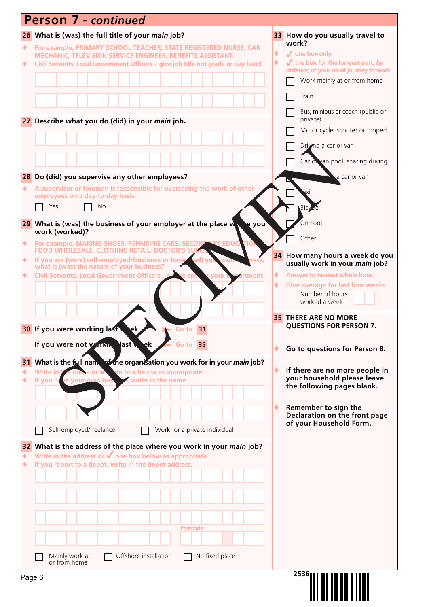|         | <b>Person 7 - continued</b>                                                                                                                |   |                                                                                                    |
|---------|--------------------------------------------------------------------------------------------------------------------------------------------|---|----------------------------------------------------------------------------------------------------|
|         | 26 What is (was) the full title of your main job?                                                                                          |   | 33 How do you usually travel to<br>work?                                                           |
| ۰       | For example, PRIMARY SCHOOL TEACHER, STATE REGISTERED NURSE, CAR<br>MECHANIC, TELEVISION SERVICE ENGINEER, BENEFITS ASSISTANT.             | ۰ | $\sqrt{\ }$ one box only.                                                                          |
| ۰       | Civil Servants, Local Government Officers - give job title not grade or pay band.                                                          | ۰ | $\blacktriangleright$ the box for the longest part, by<br>distance, of your usual journey to work. |
|         |                                                                                                                                            |   | Work mainly at or from home                                                                        |
|         |                                                                                                                                            |   | Train                                                                                              |
|         |                                                                                                                                            |   | Bus, minibus or coach (public or<br>private)                                                       |
|         | 27 Describe what you do (did) in your main job.                                                                                            |   | Motor cycle, scooter or moped                                                                      |
|         |                                                                                                                                            |   | Driving a car or van                                                                               |
|         |                                                                                                                                            |   | Car on van pool, sharing driving                                                                   |
|         | 28 Do (did) you supervise any other employees?                                                                                             |   | a car or van                                                                                       |
| ۰       | A supervisor or foreman is responsible for overseeing the work of other<br>employees on a day-to-day basis.                                |   |                                                                                                    |
|         | Yes<br>No                                                                                                                                  |   | Bicv                                                                                               |
|         | 29 What is (was) the business of your employer at the place $w_{\text{A}}$ be you                                                          |   | On Foot                                                                                            |
| ۰       | work (worked)?<br><b>ARY EDUC</b><br>For example, MAKING SHOES, REPAIRING CARS, SECOND                                                     |   | Other                                                                                              |
|         | <b>FOOD WHOLESALE, CLOTHING RETAIL, DOCTOR'S SUR</b>                                                                                       |   | 34 How many hours a week do you                                                                    |
| ۰       | If you are (were) self-employed/freelance or have<br>ad) yo<br>what is (was) the nature of your business?                                  |   | usually work in your main job?                                                                     |
| ۰       | <b>Civil Servants, Local Government Officers -</b><br>se sp<br>vour<br>sartment.                                                           |   | Answer to nearest whole hour.<br>Give average for last four weeks.                                 |
|         |                                                                                                                                            |   | Number of hours<br>worked a week                                                                   |
|         |                                                                                                                                            |   | <b>35 THERE ARE NO MORE</b>                                                                        |
|         | 30 If you were working last<br>31<br>Go to<br>еk                                                                                           |   | <b>QUESTIONS FOR PERSON 7.</b>                                                                     |
|         | If you were not workin<br>Go to 35<br>last <b>W</b><br>ek.                                                                                 |   | Go to questions for Person 8.                                                                      |
|         | 31 What is the full name of the organisation you work for in your main job?                                                                |   |                                                                                                    |
| ٠<br>٠  | ne box below as appropriate.<br>Write in t<br>name or <b>√</b><br>e your own busi<br>s, write in the name.<br>If you ha                    |   | If there are no more people in<br>your household please leave                                      |
|         |                                                                                                                                            |   | the following pages blank.                                                                         |
|         |                                                                                                                                            | ٠ | Remember to sign the                                                                               |
|         |                                                                                                                                            |   | Declaration on the front page<br>of your Household Form.                                           |
|         | Self-employed/freelance<br>Work for a private individual                                                                                   |   |                                                                                                    |
| 32<br>٠ | What is the address of the place where you work in your main job?<br>Write in the address or $\blacklozenge$ one box below as appropriate. |   |                                                                                                    |
| ۰       | If you report to a depot, write in the depot address.                                                                                      |   |                                                                                                    |
|         |                                                                                                                                            |   |                                                                                                    |
|         |                                                                                                                                            |   |                                                                                                    |
|         |                                                                                                                                            |   |                                                                                                    |
|         | Postcode                                                                                                                                   |   |                                                                                                    |
|         |                                                                                                                                            |   |                                                                                                    |
|         | Mainly work at<br>Offshore installation<br>No fixed place<br>or from home                                                                  |   |                                                                                                    |
| Page 6  |                                                                                                                                            |   | $^{2536}$ III                                                                                      |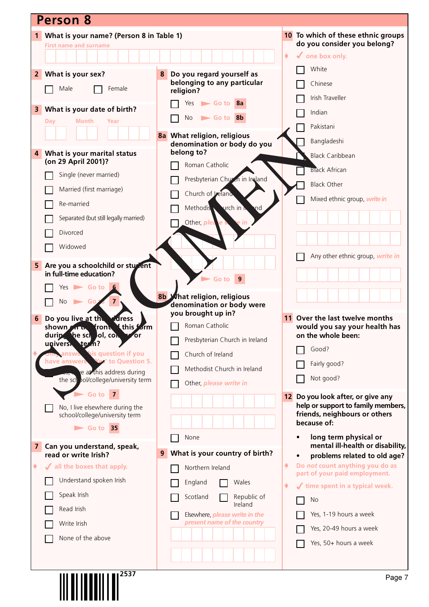|                | <b>Person 8</b>                                                                     |                                                                      |                 |                                                                     |
|----------------|-------------------------------------------------------------------------------------|----------------------------------------------------------------------|-----------------|---------------------------------------------------------------------|
|                | 1 What is your name? (Person 8 in Table 1)                                          |                                                                      |                 | 10 To which of these ethnic groups                                  |
|                | <b>First name and surname</b>                                                       |                                                                      |                 | do you consider you belong?                                         |
|                |                                                                                     |                                                                      | ۰               | ◆ one box only.                                                     |
| $\overline{2}$ | What is your sex?                                                                   | Do you regard yourself as<br>8                                       |                 | White                                                               |
|                | Male<br>Female                                                                      | belonging to any particular                                          |                 | Chinese                                                             |
|                |                                                                                     | religion?                                                            |                 | Irish Traveller                                                     |
| 3              | What is your date of birth?                                                         | Go to 8a<br>Yes                                                      |                 | Indian                                                              |
|                | Month<br>Year<br>Day                                                                | $\blacktriangleright$ Go to $8b$<br>No.                              |                 | Pakistani                                                           |
|                |                                                                                     | 8a What religion, religious                                          |                 | Bangladeshi                                                         |
| $\overline{4}$ | What is your marital status                                                         | denomination or body do you<br>belong to?                            |                 |                                                                     |
|                | (on 29 April 2001)?                                                                 | Roman Catholic                                                       |                 | <b>Black Caribbean</b>                                              |
|                | Single (never married)                                                              | Presbyterian Church in Ireland                                       |                 | <b>Black African</b>                                                |
|                | Married (first marriage)                                                            |                                                                      |                 | <b>Black Other</b>                                                  |
|                | Re-married                                                                          | Church of <b>Jelano</b>                                              |                 | Mixed ethnic group, write in                                        |
|                | Separated (but still legally married)                                               | Methodis<br>urch in h<br>nd                                          |                 |                                                                     |
|                | Divorced                                                                            | Other, plea                                                          |                 |                                                                     |
|                |                                                                                     |                                                                      |                 |                                                                     |
|                | Widowed                                                                             |                                                                      |                 | Any other ethnic group, write in                                    |
| 5 <sub>1</sub> | Are you a schoolchild or student                                                    |                                                                      |                 |                                                                     |
|                | in full-time education?                                                             | 9<br>Go to                                                           |                 |                                                                     |
|                | $Yes$ Go to                                                                         | 8b <i>y</i> /hat religion, religious                                 |                 |                                                                     |
|                | No<br>7                                                                             | denomination or body were                                            |                 |                                                                     |
| 6              | Do you live at the<br>dress                                                         | you brought up in?<br>Roman Catholic                                 | 11              | Over the last twelve months                                         |
|                | shown on the front this form<br>during the school, control for                      |                                                                      |                 | would you say your health has<br>on the whole been:                 |
|                | univers<br>term?                                                                    | Presbyterian Church in Ireland                                       |                 | Good?                                                               |
|                | his question if you<br><b>A</b> answe<br><b>Ves' to Question 5.</b><br>have answere | Church of Ireland                                                    |                 | Fairly good?                                                        |
|                | e at this address during                                                            | Methodist Church in Ireland                                          |                 | Not good?                                                           |
|                | the sch bol/college/university term                                                 | Other, please write in                                               |                 |                                                                     |
|                | Go to 7                                                                             |                                                                      | 12 <sup>2</sup> | Do you look after, or give any                                      |
|                | No, I live elsewhere during the<br>school/college/university term                   |                                                                      |                 | help or support to family members,<br>friends, neighbours or others |
|                | $\triangleright$ Go to 35                                                           |                                                                      |                 | because of:                                                         |
|                |                                                                                     | None                                                                 |                 | long term physical or                                               |
| $\mathbf{7}$   | Can you understand, speak,<br>read or write Irish?                                  | What is your country of birth?<br>9                                  |                 | mental ill-health or disability,<br>problems related to old age?    |
| ۰              | √ all the boxes that apply.                                                         | Northern Ireland                                                     | ۰               | Do not count anything you do as                                     |
|                | Understand spoken Irish                                                             | England<br>Wales                                                     |                 | part of your paid employment.                                       |
|                | Speak Irish                                                                         | Scotland<br>Republic of                                              | ٠               | $\blacktriangledown$ time spent in a typical week.                  |
|                | Read Irish                                                                          | Ireland                                                              |                 | No                                                                  |
|                | Write Irish                                                                         | Elsewhere, <i>please write in the</i><br>present name of the country |                 | Yes, 1-19 hours a week                                              |
|                | None of the above                                                                   |                                                                      |                 | Yes, 20-49 hours a week                                             |
|                |                                                                                     |                                                                      |                 | Yes, 50+ hours a week                                               |
|                |                                                                                     |                                                                      |                 |                                                                     |
|                | <b>III BI IBBBII I BI <math>2537</math></b>                                         |                                                                      |                 | Dao 7                                                               |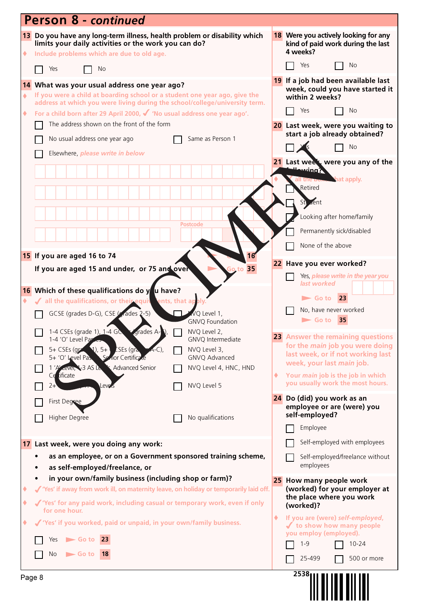|        | <b>Person 8 - continued</b>                                                                                                                                                    |                                        |   |                                                                                       |
|--------|--------------------------------------------------------------------------------------------------------------------------------------------------------------------------------|----------------------------------------|---|---------------------------------------------------------------------------------------|
| ۰      | 13 Do you have any long-term illness, health problem or disability which<br>limits your daily activities or the work you can do?<br>Include problems which are due to old age. |                                        |   | 18 Were you actively looking for any<br>kind of paid work during the last<br>4 weeks? |
|        | Yes<br>No                                                                                                                                                                      |                                        |   | No<br>Yes                                                                             |
|        | 14 What was your usual address one year ago?                                                                                                                                   |                                        |   | 19 If a job had been available last<br>week, could you have started it                |
| ٠      | If you were a child at boarding school or a student one year ago, give the<br>address at which you were living during the school/college/university term.                      |                                        |   | within 2 weeks?                                                                       |
| ۰      | For a child born after 29 April 2000, √ 'No usual address one year ago'.                                                                                                       |                                        |   | Yes<br>No.                                                                            |
|        | The address shown on the front of the form                                                                                                                                     |                                        |   | 20 Last week, were you waiting to<br>start a job already obtained?                    |
|        | No usual address one year ago                                                                                                                                                  | Same as Person 1                       |   | <b>No</b>                                                                             |
|        | Elsewhere, please write in below                                                                                                                                               |                                        |   | 21 Last week, were you any of the                                                     |
|        |                                                                                                                                                                                |                                        |   | <b>Lawing?</b><br>that apply.<br>all the p                                            |
|        |                                                                                                                                                                                |                                        |   | Retired                                                                               |
|        |                                                                                                                                                                                |                                        |   | Sti <sub>dent</sub>                                                                   |
|        |                                                                                                                                                                                | <b>Postcode</b>                        |   | Looking after home/family                                                             |
|        |                                                                                                                                                                                |                                        |   | Permanently sick/disabled                                                             |
|        | 15 If you are aged 16 to 74                                                                                                                                                    |                                        |   | None of the above                                                                     |
|        | If you are aged 15 and under, or 75 and over                                                                                                                                   | to $35$                                |   | 22 Have you ever worked?                                                              |
|        | 16 Which of these qualifications do y u have?                                                                                                                                  |                                        |   | Yes, <i>please write in the year you</i><br>last worked                               |
|        | all the qualifications, or their equiv                                                                                                                                         | ents, that apply                       |   | <b>23</b><br>$\blacktriangleright$ Go to                                              |
|        | GCSE (grades D-G), CSE (grades 2-5)                                                                                                                                            | VQ Level 1,<br>GNVQ Foundation         |   | No, have never worked<br>$\blacktriangleright$ Go to<br>35                            |
|        | 1-4 CSEs (grade 1), 1-4 GC $\sqrt{g}$ rades A- $\sqrt{g}$ , $\Box$ NVQ Level 2,                                                                                                |                                        |   | 23 Answer the remaining questions                                                     |
|        | 1-4 'O' Level Paraco<br>$5+$ CSEs (gr. $\sqrt{1}$ ), $5+\sqrt{2}$ SEs (gr.                                                                                                     | GNVQ Intermediate<br>NVQ Level 3,      |   | for the <i>main</i> job you were doing                                                |
|        | 5+ 'O' Level Pas Serior Certificate<br>$1'$ <sup><math>\mu</math></sup> $\le$ $\frac{1}{2}$ $-3$ AS $\ln$<br>Advanced Senior                                                   | GNVQ Advanced<br>NVQ Level 4, HNC, HND |   | last week, or if not working last<br>week, your last main job.                        |
|        | tificate<br>Cel                                                                                                                                                                |                                        | ۰ | Your main job is the job in which<br>you usually work the most hours.                 |
|        | 2+<br>evers                                                                                                                                                                    | NVQ Level 5                            |   | 24 Do (did) you work as an                                                            |
|        | First Degree                                                                                                                                                                   |                                        |   | employee or are (were) you<br>self-employed?                                          |
|        | Higher Degree                                                                                                                                                                  | No qualifications                      |   | Employee                                                                              |
|        | 17 Last week, were you doing any work:                                                                                                                                         |                                        |   | Self-employed with employees                                                          |
|        | as an employee, or on a Government sponsored training scheme,                                                                                                                  |                                        |   | Self-employed/freelance without                                                       |
|        | as self-employed/freelance, or                                                                                                                                                 |                                        |   | employees                                                                             |
| ٠      | in your own/family business (including shop or farm)?<br>√ 'Yes' if away from work ill, on maternity leave, on holiday or temporarily laid off.                                |                                        |   | 25 How many people work<br>(worked) for your employer at                              |
| ۰      | √ 'Yes' for any paid work, including casual or temporary work, even if only                                                                                                    |                                        |   | the place where you work<br>(worked)?                                                 |
| ٠      | for one hour.<br>√ 'Yes' if you worked, paid or unpaid, in your own/family business.                                                                                           |                                        | ۰ | If you are (were) self-employed,                                                      |
|        | $\blacktriangleright$ Go to 23<br>Yes                                                                                                                                          |                                        |   | ✔ to show how many people<br>you employ (employed).                                   |
|        | No<br>$\blacktriangleright$ Go to<br>18                                                                                                                                        |                                        |   | $1 - 9$<br>$10 - 24$                                                                  |
|        |                                                                                                                                                                                |                                        |   | 25-499<br>500 or more                                                                 |
| Page 8 |                                                                                                                                                                                |                                        |   | 2538                                                                                  |
|        |                                                                                                                                                                                |                                        |   |                                                                                       |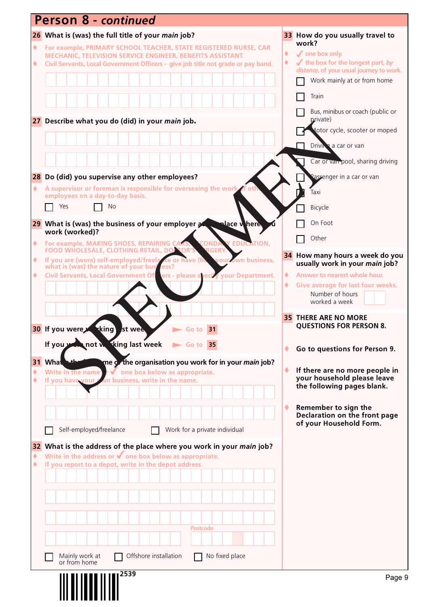|                      | <b>Person 8 - continued</b>                                                                                                                                                                                         |        |                                                                                                        |
|----------------------|---------------------------------------------------------------------------------------------------------------------------------------------------------------------------------------------------------------------|--------|--------------------------------------------------------------------------------------------------------|
|                      | 26 What is (was) the full title of your main job?                                                                                                                                                                   |        | 33 How do you usually travel to                                                                        |
| $\blacklozenge$<br>۰ | For example, PRIMARY SCHOOL TEACHER, STATE REGISTERED NURSE, CAR<br>MECHANIC, TELEVISION SERVICE ENGINEER, BENEFITS ASSISTANT.<br>Civil Servants, Local Government Officers - give job title not grade or pay band. | ۰<br>٠ | work?<br>$\sqrt{\ }$ one box only.<br>$\blacktriangleright$ the box for the longest part, by           |
|                      |                                                                                                                                                                                                                     |        | distance, of your usual journey to work.<br>Work mainly at or from home                                |
|                      |                                                                                                                                                                                                                     |        | Train                                                                                                  |
|                      | 27 Describe what you do (did) in your main job.                                                                                                                                                                     |        | Bus, minibus or coach (public or<br>private)                                                           |
|                      |                                                                                                                                                                                                                     |        | Notor cycle, scooter or moped<br>Driving a car or van                                                  |
|                      |                                                                                                                                                                                                                     |        | Car or van pool, sharing driving                                                                       |
|                      | 28 Do (did) you supervise any other employees?                                                                                                                                                                      |        | Passenger in a car or van                                                                              |
| ۰                    | A supervisor or foreman is responsible for overseeing the work<br>employees on a day-to-day basis.                                                                                                                  |        | Taxi                                                                                                   |
|                      | Yes<br>No                                                                                                                                                                                                           |        | Bicycle                                                                                                |
|                      | 29 What is (was) the business of your employer a<br>blace v here<br>work (worked)?                                                                                                                                  |        | On Foot                                                                                                |
| ۰                    | <b>Y EDUCATION,</b><br><b>COND</b><br>For example, MAKING SHOES, REPAIRING CARS,                                                                                                                                    |        | Other                                                                                                  |
| ۰                    | FOOD WHOLESALE, CLOTHING RETAIL, DOATOR'S<br><b>RGERY</b><br>If you are (were) self-employed/freelance or have (h)<br>vour own business,<br>what is (was) the nature of your business?                              |        | 34 How many hours a week do you<br>usually work in your main job?                                      |
| ۰                    | Civil Servants, Local Government Of ters - please specity your Department.                                                                                                                                          | ۰<br>۰ | Answer to nearest whole hour.<br>Give average for last four weeks.<br>Number of hours<br>worked a week |
|                      | 30 If you were x king st wee<br>$\blacktriangleright$ Go to<br>31                                                                                                                                                   |        | <b>35 THERE ARE NO MORE</b><br><b>QUESTIONS FOR PERSON 8.</b>                                          |
|                      | If you were not wilking last week<br>$\triangleright$ Go to 35                                                                                                                                                      |        | Go to questions for Person 9.                                                                          |
| ٠<br>٠               | me oxthe organisation you work for in your main job?<br>31 What<br>Write in the name $\mathbf r \blacktriangleright$ one box below as appropriate.<br>wn business, write in the name.<br>If you have your           |        | If there are no more people in<br>your household please leave<br>the following pages blank.            |
|                      | Self-employed/freelance<br>Work for a private individual                                                                                                                                                            | ٠      | Remember to sign the<br>Declaration on the front page<br>of your Household Form.                       |
| 32                   | What is the address of the place where you work in your main job?                                                                                                                                                   |        |                                                                                                        |
| ٠<br>٠               | Write in the address or $\blacklozenge$ one box below as appropriate.<br>If you report to a depot, write in the depot address.                                                                                      |        |                                                                                                        |
|                      |                                                                                                                                                                                                                     |        |                                                                                                        |
|                      |                                                                                                                                                                                                                     |        |                                                                                                        |
|                      |                                                                                                                                                                                                                     |        |                                                                                                        |
|                      | <b>Postcode</b>                                                                                                                                                                                                     |        |                                                                                                        |
|                      | No fixed place<br>Mainly work at<br>Offshore installation<br>or from home                                                                                                                                           |        |                                                                                                        |
|                      | 2539                                                                                                                                                                                                                |        | Page 9                                                                                                 |
|                      |                                                                                                                                                                                                                     |        |                                                                                                        |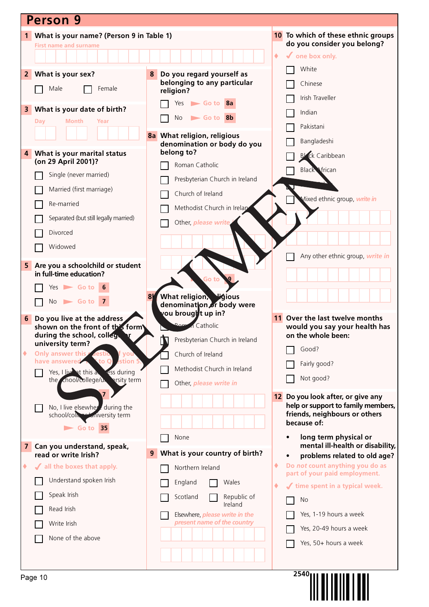|                | <b>Person 9</b>                                                  |                                                            |   |                                                                         |
|----------------|------------------------------------------------------------------|------------------------------------------------------------|---|-------------------------------------------------------------------------|
| 1              | What is your name? (Person 9 in Table 1)                         |                                                            |   | 10 To which of these ethnic groups                                      |
|                | <b>First name and surname</b>                                    |                                                            |   | do you consider you belong?                                             |
|                |                                                                  |                                                            | ٠ | $\checkmark$ one box only.                                              |
| 2 <sup>1</sup> | What is your sex?                                                | Do you regard yourself as<br>8                             |   | White                                                                   |
|                | Male<br>Female                                                   | belonging to any particular<br>religion?                   |   | Chinese                                                                 |
|                |                                                                  | Go to 8a<br>Yes                                            |   | Irish Traveller                                                         |
| 3              | What is your date of birth?<br>Month<br>Day<br>Year              | No<br>$\blacktriangleright$ Go to $8b$                     |   | Indian                                                                  |
|                |                                                                  |                                                            |   | Pakistani                                                               |
|                |                                                                  | 8a What religion, religious<br>denomination or body do you |   | Bangladeshi                                                             |
| 4              | What is your marital status<br>(on 29 April 2001)?               | belong to?                                                 |   | B <sup>L</sup> Ck Caribbean                                             |
|                | Single (never married)                                           | Roman Catholic                                             |   | <b>Black frican</b>                                                     |
|                |                                                                  | Presbyterian Church in Ireland                             |   |                                                                         |
|                | Married (first marriage)                                         | Church of Ireland                                          |   | Mixed ethnic group, write in                                            |
|                | Re-married                                                       | Methodist Church in Irelap                                 |   |                                                                         |
|                | Separated (but still legally married)                            | Other, please write                                        |   |                                                                         |
|                | Divorced                                                         |                                                            |   |                                                                         |
|                | Widowed                                                          |                                                            |   | Any other ethnic group, write in                                        |
| 5              | Are you a schoolchild or student                                 |                                                            |   |                                                                         |
|                | in full-time education?                                          | Go to                                                      |   |                                                                         |
|                | $Yes$ Go to 6                                                    | What religion, ligious                                     |   |                                                                         |
|                | $No \rightharpoonup Go$ to 7                                     | denomination or body were                                  |   |                                                                         |
| 6              | Do you live at the address                                       | vou brought up in?                                         |   | 11 Over the last twelve months                                          |
|                | shown on the front of this form<br>during the school, college    | <b>A</b> Catholic                                          |   | would you say your health has<br>on the whole been:                     |
|                | university term?                                                 | Presbyterian Church in Ireland                             |   | Good?                                                                   |
| ۰              | Only answer this<br>f vou<br>to Q<br>have answered<br>estion 5.  | Church of Ireland                                          |   | Fairly good?                                                            |
|                | Yes, I live at this a<br>ess during                              | Methodist Church in Ireland                                |   | Not good?                                                               |
|                | the chool/college/un<br><b>ersity term</b>                       | Other, please write in                                     |   |                                                                         |
|                |                                                                  |                                                            |   | 12 Do you look after, or give any<br>help or support to family members, |
|                | No, I live elsewhere during the<br>school/colleadeniversity term |                                                            |   | friends, neighbours or others                                           |
|                | $\triangleright$ Go to 35                                        |                                                            |   | because of:                                                             |
| $\mathbf{7}$   | Can you understand, speak,                                       | None                                                       |   | long term physical or<br>$\bullet$<br>mental ill-health or disability,  |
|                | read or write Irish?                                             | What is your country of birth?<br>9                        |   | problems related to old age?                                            |
| ٠              | If all the boxes that apply.                                     | Northern Ireland                                           | ٠ | Do not count anything you do as<br>part of your paid employment.        |
|                | Understand spoken Irish                                          | England<br>Wales                                           | ٠ | time spent in a typical week.<br>$\sqrt{}$                              |
|                | Speak Irish                                                      | Republic of<br>Scotland                                    |   | No                                                                      |
|                | Read Irish                                                       | Ireland<br>Elsewhere, please write in the                  |   | Yes, 1-19 hours a week                                                  |
|                | Write Irish                                                      | present name of the country                                |   | Yes, 20-49 hours a week                                                 |
|                | None of the above                                                |                                                            |   | Yes, 50+ hours a week                                                   |
|                |                                                                  |                                                            |   |                                                                         |
|                |                                                                  |                                                            |   | $7FAD$                                                                  |

Page 10

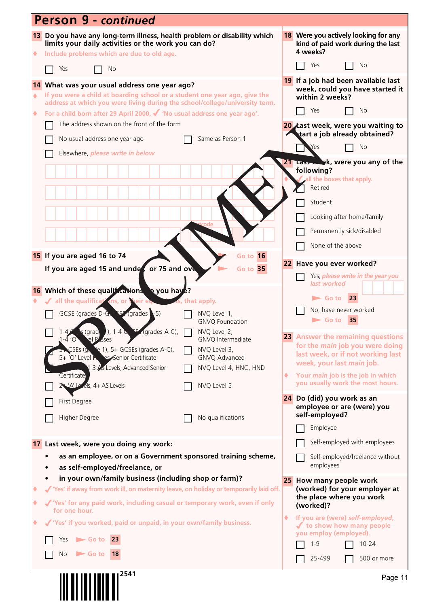|   | <b>Person 9 - continued</b>                                                                                                                                                    |                                             |                                                                                       |
|---|--------------------------------------------------------------------------------------------------------------------------------------------------------------------------------|---------------------------------------------|---------------------------------------------------------------------------------------|
| ۰ | 13 Do you have any long-term illness, health problem or disability which<br>limits your daily activities or the work you can do?<br>Include problems which are due to old age. |                                             | 18 Were you actively looking for any<br>kind of paid work during the last<br>4 weeks? |
|   | <b>No</b><br>Yes                                                                                                                                                               |                                             | Yes<br>No                                                                             |
|   | 14 What was your usual address one year ago?                                                                                                                                   |                                             | 19 If a job had been available last                                                   |
|   | If you were a child at boarding school or a student one year ago, give the                                                                                                     |                                             | week, could you have started it<br>within 2 weeks?                                    |
|   | address at which you were living during the school/college/university term.<br>For a child born after 29 April 2000, √ 'No usual address one year ago'.                        |                                             | Yes<br>No                                                                             |
| ٠ | The address shown on the front of the form                                                                                                                                     |                                             | 20 Last week, were you waiting to                                                     |
|   | No usual address one year ago                                                                                                                                                  | Same as Person 1                            | tart a job already obtained?                                                          |
|   | Elsewhere, please write in below                                                                                                                                               |                                             | <b>No</b><br>Yes                                                                      |
|   |                                                                                                                                                                                |                                             | 21 Last wek, were you any of the                                                      |
|   |                                                                                                                                                                                |                                             | following?<br>all the boxes that apply.                                               |
|   |                                                                                                                                                                                |                                             | Retired                                                                               |
|   |                                                                                                                                                                                |                                             | Student                                                                               |
|   |                                                                                                                                                                                | ode                                         | Looking after home/family                                                             |
|   |                                                                                                                                                                                |                                             | Permanently sick/disabled                                                             |
|   |                                                                                                                                                                                |                                             | None of the above                                                                     |
|   | 15 If you are aged 16 to 74                                                                                                                                                    | Go to 16                                    | 22 Have you ever worked?                                                              |
|   | If you are aged 15 and under, or 75 and over                                                                                                                                   | Go to 35                                    | Yes, <i>please write in the year you</i><br>last worked                               |
|   | 16 Which of these qualifications so you have?<br>all the qualifications, or their                                                                                              | is, that apply.                             | 23<br>$\blacktriangleright$ Go to                                                     |
|   | GCSE (grades D-G) SZ (grades -5)                                                                                                                                               | NVQ Level 1,                                | No, have never worked                                                                 |
|   |                                                                                                                                                                                | <b>GNVO Foundation</b>                      | $\blacktriangleright$ Go to<br>35                                                     |
|   | $SE$ (grades A-C),<br>$1), 1 - 4$<br>$\Box$ 1-4<br>(grad<br>$-4'0''$<br>rel Passes                                                                                             | NVQ Level 2,<br>$\Box$<br>GNVQ Intermediate | 23 Answer the remaining questions                                                     |
|   | $\mathcal{F}$ CSEs (g), $\mathcal{F}$ 1), 5+ GCSEs (grades A-C),<br>5+ 'O' Level Press Senior Certificate                                                                      | NVQ Level 3,<br>GNVQ Advanced               | for the <i>main</i> job you were doing<br>last week, or if not working last           |
|   | -3 As Levels, Advanced Senior                                                                                                                                                  | NVQ Level 4, HNC, HND                       | week, your last main job.                                                             |
|   | Certificate<br>2 'A' Levels, 4+ AS Levels                                                                                                                                      | NVQ Level 5                                 | Your main job is the job in which<br>۰<br>you usually work the most hours.            |
|   |                                                                                                                                                                                |                                             | 24 Do (did) you work as an                                                            |
|   | First Degree                                                                                                                                                                   |                                             | employee or are (were) you<br>self-employed?                                          |
|   | Higher Degree                                                                                                                                                                  | No qualifications                           | Employee                                                                              |
|   |                                                                                                                                                                                |                                             | Self-employed with employees                                                          |
|   | 17 Last week, were you doing any work:<br>as an employee, or on a Government sponsored training scheme,                                                                        |                                             | Self-employed/freelance without                                                       |
|   | as self-employed/freelance, or                                                                                                                                                 |                                             | employees                                                                             |
|   | in your own/family business (including shop or farm)?                                                                                                                          |                                             | 25 How many people work                                                               |
| ٠ | 'Yes' if away from work ill, on maternity leave, on holiday or temporarily laid off.                                                                                           |                                             | (worked) for your employer at<br>the place where you work                             |
| ٠ | √ 'Yes' for any paid work, including casual or temporary work, even if only<br>for one hour.                                                                                   |                                             | (worked)?                                                                             |
|   | √ 'Yes' if you worked, paid or unpaid, in your own/family business.                                                                                                            |                                             | If you are (were) self-employed,<br>✔ to show how many people                         |
|   | $\blacktriangleright$ Go to<br><b>23</b><br>Yes                                                                                                                                |                                             | you employ (employed).                                                                |
|   | No<br>$\blacktriangleright$ Go to<br>18                                                                                                                                        |                                             | $1 - 9$<br>$10 - 24$                                                                  |
|   |                                                                                                                                                                                |                                             | 500 or more<br>25-499                                                                 |
|   | 2541                                                                                                                                                                           |                                             | Page 11                                                                               |
|   |                                                                                                                                                                                |                                             |                                                                                       |
|   |                                                                                                                                                                                |                                             |                                                                                       |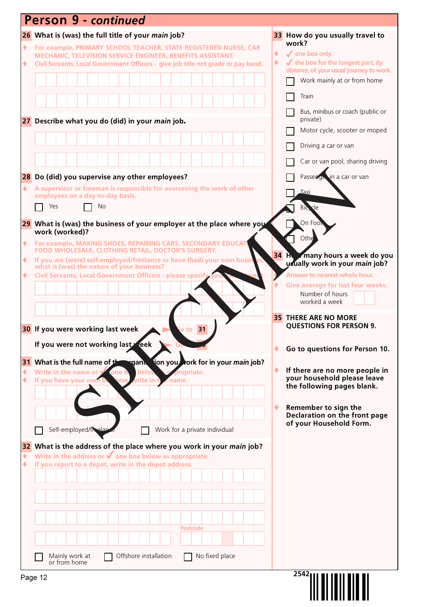|         | <b>Person 9 - continued</b>                                                                                                                                                                                         |        |                                                                                     |  |  |  |  |
|---------|---------------------------------------------------------------------------------------------------------------------------------------------------------------------------------------------------------------------|--------|-------------------------------------------------------------------------------------|--|--|--|--|
|         | 26 What is (was) the full title of your main job?                                                                                                                                                                   |        | 33 How do you usually travel to<br>work?                                            |  |  |  |  |
| ۰<br>۰  | For example, PRIMARY SCHOOL TEACHER, STATE REGISTERED NURSE, CAR<br>MECHANIC, TELEVISION SERVICE ENGINEER, BENEFITS ASSISTANT.<br>Civil Servants, Local Government Officers - give job title not grade or pay band. | ۰<br>٠ | $\sqrt{\ }$ one box only.<br>$\blacktriangleright$ the box for the longest part, by |  |  |  |  |
|         |                                                                                                                                                                                                                     |        | distance, of your usual journey to work.<br>Work mainly at or from home             |  |  |  |  |
|         |                                                                                                                                                                                                                     |        | Train                                                                               |  |  |  |  |
|         | 27 Describe what you do (did) in your main job.                                                                                                                                                                     |        | Bus, minibus or coach (public or<br>private)                                        |  |  |  |  |
|         |                                                                                                                                                                                                                     |        | Motor cycle, scooter or moped                                                       |  |  |  |  |
|         |                                                                                                                                                                                                                     |        | Driving a car or van<br>Car or van pool, sharing driving                            |  |  |  |  |
|         | 28 Do (did) you supervise any other employees?                                                                                                                                                                      |        | in a car or van<br>Passenge                                                         |  |  |  |  |
| ۰       | A supervisor or foreman is responsible for overseeing the work of other<br>employees on a day-to-day basis.                                                                                                         |        | Iaxi                                                                                |  |  |  |  |
|         | Yes<br>No.                                                                                                                                                                                                          |        | Bio<br>cle                                                                          |  |  |  |  |
|         | 29 What is (was) the business of your employer at the place where you<br>work (worked)?                                                                                                                             |        | On Foo                                                                              |  |  |  |  |
| ۰       | For example, MAKING SHOES, REPAIRING CARS, SECONDARY EDUCAT<br>FOOD WHOLESALE, CLOTHING RETAIL, DOCTOR'S SURGERY.                                                                                                   |        | Othe                                                                                |  |  |  |  |
| ۰       | If you are (were) self-employed/freelance or have (had) your own busin<br>what is (was) the nature of your business?                                                                                                |        | 34 H many hours a week do you<br>usually work in your main job?                     |  |  |  |  |
| ۰       | Civil Servants, Local Government Officers - please specify                                                                                                                                                          |        | Answer to nearest whole hour.<br>Give average for last four weeks.                  |  |  |  |  |
|         |                                                                                                                                                                                                                     |        | Number of hours<br>worked a week                                                    |  |  |  |  |
|         |                                                                                                                                                                                                                     |        | <b>35 THERE ARE NO MORE</b><br><b>QUESTIONS FOR PERSON 9.</b>                       |  |  |  |  |
|         | 30 If you were working last week<br>31<br>If you were not working last reek                                                                                                                                         |        |                                                                                     |  |  |  |  |
|         | 31 What is the full name of the<br>rgan ion you vork for in your main job?                                                                                                                                          |        | Go to questions for Person 10.                                                      |  |  |  |  |
| ۰<br>۰  | Write in the name or<br>belov<br>propriate.<br>one b<br>If you have your own b<br>vrite in ti<br>name.                                                                                                              |        | If there are no more people in<br>your household please leave                       |  |  |  |  |
|         |                                                                                                                                                                                                                     |        | the following pages blank.                                                          |  |  |  |  |
|         |                                                                                                                                                                                                                     | ٠      | Remember to sign the<br>Declaration on the front page                               |  |  |  |  |
|         | Self-employed/finelan<br>Work for a private individual                                                                                                                                                              |        | of your Household Form.                                                             |  |  |  |  |
| 32<br>۰ | What is the address of the place where you work in your main job?<br>Write in the address or $\blacklozenge$ one box below as appropriate.                                                                          |        |                                                                                     |  |  |  |  |
| ۰       | If you report to a depot, write in the depot address.                                                                                                                                                               |        |                                                                                     |  |  |  |  |
|         |                                                                                                                                                                                                                     |        |                                                                                     |  |  |  |  |
|         |                                                                                                                                                                                                                     |        |                                                                                     |  |  |  |  |
|         | <b>Postcode</b>                                                                                                                                                                                                     |        |                                                                                     |  |  |  |  |
|         |                                                                                                                                                                                                                     |        |                                                                                     |  |  |  |  |
|         | Mainly work at<br>Offshore installation<br>No fixed place<br>or from home                                                                                                                                           |        |                                                                                     |  |  |  |  |
|         | Page 12                                                                                                                                                                                                             |        | 2542 <sub>111</sub> 11 11 11 1                                                      |  |  |  |  |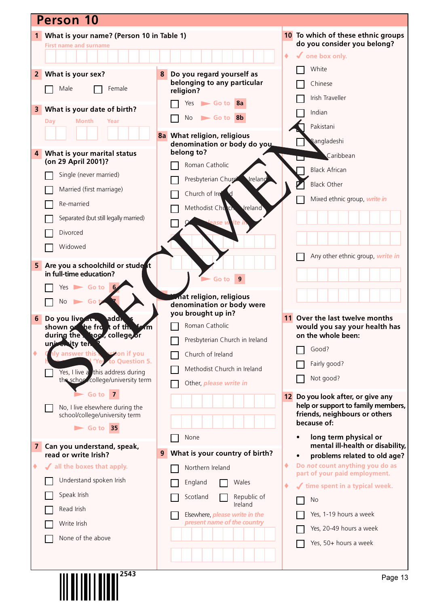|                | Person 10                                                    |                                                             |                 |                                                                              |
|----------------|--------------------------------------------------------------|-------------------------------------------------------------|-----------------|------------------------------------------------------------------------------|
|                | 1 What is your name? (Person 10 in Table 1)                  |                                                             |                 | 10 To which of these ethnic groups                                           |
|                | <b>First name and surname</b>                                |                                                             |                 | do you consider you belong?                                                  |
|                |                                                              |                                                             | ۰               | $\checkmark$ one box only.                                                   |
| $\overline{2}$ | What is your sex?                                            | Do you regard yourself as<br>8                              |                 | White                                                                        |
|                | Male<br>Female                                               | belonging to any particular<br>religion?                    |                 | Chinese<br>Irish Traveller                                                   |
| 3              | What is your date of birth?                                  | Go to 8a<br>Yes                                             |                 |                                                                              |
|                | Month<br>Year<br>Day                                         | Go to 8b<br>No                                              |                 | Indian                                                                       |
|                |                                                              |                                                             |                 | Pakistani                                                                    |
|                |                                                              | 8a What religion, religious<br>denomination or body do you. |                 | Rangladeshi                                                                  |
| 4              | What is your marital status                                  | belong to?                                                  |                 | Caribbean                                                                    |
|                | (on 29 April 2001)?                                          | Roman Catholic                                              |                 | <b>Black African</b>                                                         |
|                | Single (never married)                                       | Presbyterian Church<br>Irelang                              |                 | <b>Black Other</b>                                                           |
|                | Married (first marriage)                                     | Church of Ire                                               |                 |                                                                              |
|                | Re-married                                                   | Methodist Church<br><b>Ireland</b>                          |                 | Mixed ethnic group, write in                                                 |
|                | Separated (but still legally married)                        | ease <mark>u</mark><br>te.                                  |                 |                                                                              |
|                | Divorced                                                     |                                                             |                 |                                                                              |
|                | Widowed                                                      |                                                             |                 |                                                                              |
|                |                                                              |                                                             |                 | Any other ethnic group, write in                                             |
| 5              | Are you a schoolchild or stude it<br>in full-time education? |                                                             |                 |                                                                              |
|                | $Yes \frown Go$ to                                           | $\overline{9}$<br>Go to                                     |                 |                                                                              |
|                |                                                              | mat religion, religious                                     |                 |                                                                              |
|                | $No \frown Go$                                               | denomination or body were                                   |                 |                                                                              |
| 6              | Do you live at a addr                                        | you brought up in?<br>Roman Catholic                        | 11              | Over the last twelve months                                                  |
|                | shown of the front of the<br>during the hoor, college or     |                                                             |                 | would you say your health has<br>on the whole been:                          |
|                | university ten.                                              | Presbyterian Church in Ireland                              |                 | Good?                                                                        |
|                | ily answer this<br><b>Socion</b> if you<br>to Question 5.    | Church of Ireland                                           |                 | Fairly good?                                                                 |
|                | Yes, I live a this address during                            | Methodist Church in Ireland                                 |                 |                                                                              |
|                | the school college/university term                           | Other, please write in                                      |                 | Not good?                                                                    |
|                | $\blacktriangleright$ Go to 7                                |                                                             | 12 <sup>2</sup> | Do you look after, or give any                                               |
|                | No, I live elsewhere during the                              |                                                             |                 | help or support to family members,<br>friends, neighbours or others          |
|                | school/college/university term                               |                                                             |                 | because of:                                                                  |
|                | $\triangleright$ Go to 35                                    | None                                                        |                 | long term physical or                                                        |
| 7              | Can you understand, speak,                                   |                                                             |                 | mental ill-health or disability,                                             |
| ٠              | read or write Irish?<br>√ all the boxes that apply.          | What is your country of birth?<br>9                         | ۰               | problems related to old age?<br>$\bullet$<br>Do not count anything you do as |
|                |                                                              | Northern Ireland                                            |                 | part of your paid employment.                                                |
|                | Understand spoken Irish                                      | England<br>Wales                                            | ۰               | ↓ time spent in a typical week.                                              |
|                | Speak Irish                                                  | Republic of<br>Scotland<br>Ireland                          |                 | No                                                                           |
|                | Read Irish                                                   | Elsewhere, please write in the                              |                 | Yes, 1-19 hours a week                                                       |
|                | Write Irish                                                  | present name of the country                                 |                 | Yes, 20-49 hours a week                                                      |
|                | None of the above                                            |                                                             |                 | Yes, 50+ hours a week                                                        |
|                |                                                              |                                                             |                 |                                                                              |
|                |                                                              |                                                             |                 |                                                                              |
|                | <b>III BI IBI I BIBBI<sup>2543</sup></b>                     |                                                             |                 | Page 13                                                                      |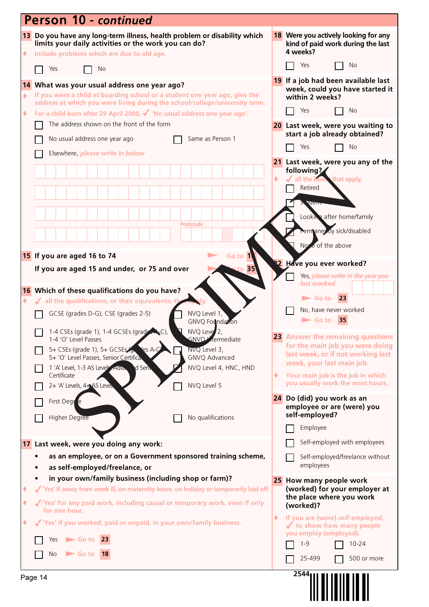|   | Person 10 - continued                                                                                                                                                          |   |                                                                                       |  |  |
|---|--------------------------------------------------------------------------------------------------------------------------------------------------------------------------------|---|---------------------------------------------------------------------------------------|--|--|
| ٠ | 13 Do you have any long-term illness, health problem or disability which<br>limits your daily activities or the work you can do?<br>Include problems which are due to old age. |   | 18 Were you actively looking for any<br>kind of paid work during the last<br>4 weeks? |  |  |
|   | Yes<br><b>No</b>                                                                                                                                                               |   | Yes<br>No                                                                             |  |  |
|   | 14 What was your usual address one year ago?                                                                                                                                   |   | 19 If a job had been available last<br>week, could you have started it                |  |  |
| ۰ | If you were a child at boarding school or a student one year ago, give the<br>address at which you were living during the school/college/university term.                      |   | within 2 weeks?                                                                       |  |  |
| ۰ | For a child born after 29 April 2000, $\checkmark$ 'No usual address one year ago'.                                                                                            |   | Yes<br>No                                                                             |  |  |
|   | The address shown on the front of the form                                                                                                                                     |   | 20 Last week, were you waiting to<br>start a job already obtained?                    |  |  |
|   | No usual address one year ago<br>Same as Person 1                                                                                                                              |   | Yes<br>No                                                                             |  |  |
|   | Elsewhere, please write in below                                                                                                                                               |   | 21 Last week, were you any of the                                                     |  |  |
|   |                                                                                                                                                                                |   | following?<br>Sall the boxe<br>that apply.                                            |  |  |
|   |                                                                                                                                                                                |   | Retired                                                                               |  |  |
|   |                                                                                                                                                                                |   | <b>NOGHE</b>                                                                          |  |  |
|   | <b>Postcode</b>                                                                                                                                                                |   | Looking after home/family<br>Permanezdly sick/disabled                                |  |  |
|   |                                                                                                                                                                                |   | No e of the above                                                                     |  |  |
|   | 15 If you are aged 16 to 74<br>Go to 1                                                                                                                                         |   |                                                                                       |  |  |
|   | If you are aged 15 and under, or 75 and over                                                                                                                                   |   | 22 Have you ever worked?<br>Yes, <i>please write in the year you</i>                  |  |  |
|   | 16 Which of these qualifications do you have?                                                                                                                                  |   | last worked                                                                           |  |  |
|   | √ all the qualifications, or their equivalents, t                                                                                                                              |   | 23<br>$\blacktriangleright$ Go to                                                     |  |  |
|   | NVQ Level 1,<br>GCSE (grades D-G), CSE (grades 2-5)<br>GNVQ Foundation                                                                                                         |   | No, have never worked<br>$\blacktriangleright$ Go to<br>35                            |  |  |
|   | NVQ Leve 2,<br>1-4 CSEs (grade 1), 1-4 GCSEs (grade A-C),<br>GNVO / termediate<br>1-4 'O' Level Passes                                                                         |   | 23 Answer the remaining questions                                                     |  |  |
|   | NVQ Level 3,<br>5+ CSEs (grade 1), 5+ GCSEs (g.<br>Nes A-C                                                                                                                     |   | for the <i>main</i> job you were doing<br>last week, or if not working last           |  |  |
|   | 5+ 'O' Level Passes, Senior Certifica<br>GNVQ Advanced<br>d Sen<br>NVQ Level 4, HNC, HND<br>1 'A' Level, 1-3 AS Levels, Adva                                                   |   | week, your last main job.                                                             |  |  |
|   | Certificate<br>NVQ Level 5<br>2+ 'A' Levels, 4+ AS Levels                                                                                                                      | ۰ | Your main job is the job in which<br>you usually work the most hours.                 |  |  |
|   | First Degr                                                                                                                                                                     |   | 24 Do (did) you work as an                                                            |  |  |
|   | <b>Higher Degree</b><br>No qualifications                                                                                                                                      |   | employee or are (were) you<br>self-employed?                                          |  |  |
|   |                                                                                                                                                                                |   | Employee                                                                              |  |  |
|   | 17 Last week, were you doing any work:                                                                                                                                         |   | Self-employed with employees                                                          |  |  |
|   | as an employee, or on a Government sponsored training scheme,                                                                                                                  |   | Self-employed/freelance without<br>employees                                          |  |  |
|   | as self-employed/freelance, or<br>in your own/family business (including shop or farm)?                                                                                        |   | 25 How many people work                                                               |  |  |
| ٠ | √ 'Yes' if away from work ill, on maternity leave, on holiday or temporarily laid off.                                                                                         |   | (worked) for your employer at                                                         |  |  |
| ۰ | √ 'Yes' for any paid work, including casual or temporary work, even if only<br>for one hour.                                                                                   |   | the place where you work<br>(worked)?                                                 |  |  |
|   | √ 'Yes' if you worked, paid or unpaid, in your own/family business.                                                                                                            | ۰ | If you are (were) self-employed,<br>$\checkmark$ to show how many people              |  |  |
|   | $\triangleright$ Go to 23<br>Yes                                                                                                                                               |   | you employ (employed).<br>$1 - 9$<br>$10 - 24$                                        |  |  |
|   | No<br>$\blacktriangleright$ Go to<br>18                                                                                                                                        |   | 25-499<br>500 or more                                                                 |  |  |
|   |                                                                                                                                                                                |   | 2544                                                                                  |  |  |
|   | Page 14                                                                                                                                                                        |   |                                                                                       |  |  |
|   |                                                                                                                                                                                |   |                                                                                       |  |  |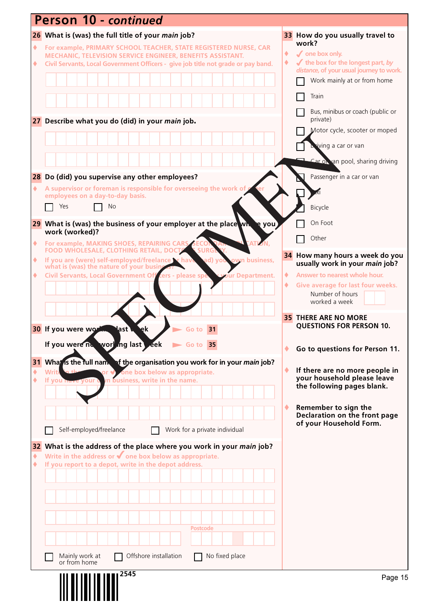| Person 10 - continued |                                                                                                                                                                                                                     |        |                                                                                                        |  |
|-----------------------|---------------------------------------------------------------------------------------------------------------------------------------------------------------------------------------------------------------------|--------|--------------------------------------------------------------------------------------------------------|--|
|                       | 26 What is (was) the full title of your main job?                                                                                                                                                                   |        | 33 How do you usually travel to<br>work?                                                               |  |
| ۰<br>۰                | For example, PRIMARY SCHOOL TEACHER, STATE REGISTERED NURSE, CAR<br>MECHANIC, TELEVISION SERVICE ENGINEER, BENEFITS ASSISTANT.<br>Civil Servants, Local Government Officers - give job title not grade or pay band. | ۰<br>۰ | $\sqrt{\ }$ one box only.<br>$\blacktriangleright$ the box for the longest part, by                    |  |
|                       |                                                                                                                                                                                                                     |        | distance, of your usual journey to work.<br>Work mainly at or from home                                |  |
|                       |                                                                                                                                                                                                                     |        | Train                                                                                                  |  |
|                       | 27 Describe what you do (did) in your main job.                                                                                                                                                                     |        | Bus, minibus or coach (public or<br>private)                                                           |  |
|                       |                                                                                                                                                                                                                     |        | Motor cycle, scooter or moped                                                                          |  |
|                       |                                                                                                                                                                                                                     |        | viving a car or van<br>Car of van pool, sharing driving                                                |  |
|                       | 28 Do (did) you supervise any other employees?                                                                                                                                                                      |        | Passenger in a car or van                                                                              |  |
| ۰                     | A supervisor or foreman is responsible for overseeing the work of<br>employees on a day-to-day basis.                                                                                                               |        |                                                                                                        |  |
|                       | Yes<br>No                                                                                                                                                                                                           |        | Bicycle                                                                                                |  |
|                       | 29 What is (was) the business of your employer at the place $wh$ $\geq$ you)<br>work (worked)?                                                                                                                      |        | On Foot                                                                                                |  |
| ۰                     | For example, MAKING SHOES, REPAIRING CARS SECONTOOD WHOLESALE, CLOTHING RETAIL, DOCTARY SURG                                                                                                                        |        | Other                                                                                                  |  |
| ۰                     | If you are (were) self-employed/freelance or have<br>ad) yoi<br>own business,<br>what is (was) the nature of your busing                                                                                            |        | 34 How many hours a week do you<br>usually work in your main job?                                      |  |
| ٠                     | Civil Servants, Local Government Off cers - please spo<br>ur Department.                                                                                                                                            | ۰<br>۰ | Answer to nearest whole hour.<br>Give average for last four weeks.<br>Number of hours<br>worked a week |  |
|                       | 30 If you were work. Nast w<br>ek<br>31<br>Go to                                                                                                                                                                    |        | <b>35 THERE ARE NO MORE</b><br><b>QUESTIONS FOR PERSON 10.</b>                                         |  |
|                       | If you were no working last yeek<br>$\triangleright$ Go to 35                                                                                                                                                       |        | Go to questions for Person 11.                                                                         |  |
| 31<br>۰<br>۰          | What's the full name of the organisation you work for in your main job?<br>Write<br>or vone box below as appropriate.<br><i>In business, write in the name.</i><br>If you have your                                 |        | If there are no more people in<br>your household please leave<br>the following pages blank.            |  |
|                       | Self-employed/freelance<br>Work for a private individual                                                                                                                                                            | ٠      | Remember to sign the<br>Declaration on the front page<br>of your Household Form.                       |  |
| 32                    | What is the address of the place where you work in your main job?                                                                                                                                                   |        |                                                                                                        |  |
| ۰<br>۰                | Write in the address or $\blacklozenge$ one box below as appropriate.<br>If you report to a depot, write in the depot address.                                                                                      |        |                                                                                                        |  |
|                       |                                                                                                                                                                                                                     |        |                                                                                                        |  |
|                       |                                                                                                                                                                                                                     |        |                                                                                                        |  |
|                       | Postcode                                                                                                                                                                                                            |        |                                                                                                        |  |
|                       |                                                                                                                                                                                                                     |        |                                                                                                        |  |
|                       | Offshore installation<br>No fixed place<br>Mainly work at<br>or from home                                                                                                                                           |        |                                                                                                        |  |
|                       | 2545                                                                                                                                                                                                                |        | Page 15                                                                                                |  |
|                       |                                                                                                                                                                                                                     |        |                                                                                                        |  |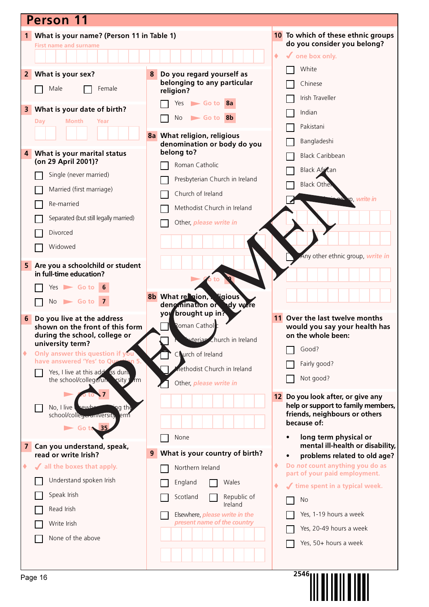| Person 11                                                          |                                                                           |                                                                       |  |  |  |
|--------------------------------------------------------------------|---------------------------------------------------------------------------|-----------------------------------------------------------------------|--|--|--|
| 1 What is your name? (Person 11 in Table 1)                        |                                                                           | 10 To which of these ethnic groups                                    |  |  |  |
| <b>First name and surname</b>                                      |                                                                           | do you consider you belong?                                           |  |  |  |
|                                                                    |                                                                           | $\checkmark$ one box only.<br>۰                                       |  |  |  |
| 2 What is your sex?                                                | Do you regard yourself as<br>8                                            | White                                                                 |  |  |  |
| Male<br>Female                                                     | belonging to any particular<br>religion?                                  | Chinese                                                               |  |  |  |
|                                                                    | Go to 8a<br>Yes                                                           | Irish Traveller                                                       |  |  |  |
| What is your date of birth?<br>$\mathbf{3}$                        |                                                                           | Indian                                                                |  |  |  |
| <b>Month</b><br>Day<br>Year                                        | Go to 8b<br>No                                                            | Pakistani                                                             |  |  |  |
|                                                                    | 8a What religion, religious                                               | Bangladeshi                                                           |  |  |  |
| What is your marital status<br>4                                   | denomination or body do you<br>belong to?                                 |                                                                       |  |  |  |
| (on 29 April 2001)?                                                | Roman Catholic                                                            | <b>Black Caribbean</b>                                                |  |  |  |
| Single (never married)                                             | Presbyterian Church in Ireland                                            | Black African                                                         |  |  |  |
| Married (first marriage)                                           |                                                                           | <b>Black Other</b>                                                    |  |  |  |
| Re-married                                                         | Church of Ireland                                                         | o, write in                                                           |  |  |  |
| Separated (but still legally married)                              | Methodist Church in Ireland                                               |                                                                       |  |  |  |
|                                                                    | Other, please write in                                                    |                                                                       |  |  |  |
| Divorced                                                           |                                                                           |                                                                       |  |  |  |
| Widowed                                                            |                                                                           | Any other ethnic group, write in                                      |  |  |  |
| 5 <sub>1</sub><br>Are you a schoolchild or student                 |                                                                           |                                                                       |  |  |  |
| in full-time education?                                            |                                                                           |                                                                       |  |  |  |
| Yes $\sim$ Go to 6                                                 |                                                                           |                                                                       |  |  |  |
| $No \rightharpoonup Go$ to 7                                       | <b>Nigious</b><br><b>8b</b> What religion,<br>denc mination or<br>dy were |                                                                       |  |  |  |
| Do you live at the address<br>6                                    | you brought up in?                                                        | 11 Over the last twelve months                                        |  |  |  |
| shown on the front of this form<br>during the school, college or   | Roman Catholic                                                            | would you say your health has<br>on the whole been:                   |  |  |  |
| university term?                                                   | vteriar Church in Ireland                                                 |                                                                       |  |  |  |
| Only answer this question if you<br>٠<br>have answered 'Yes' to Qu | Courch of Ireland                                                         | Good?                                                                 |  |  |  |
| Yes, I live at this add ss dum                                     | lethodist Church in Ireland                                               | Fairly good?                                                          |  |  |  |
| the school/college/un sity<br>.rm                                  | Other, please write in                                                    | Not good?                                                             |  |  |  |
|                                                                    |                                                                           | Do you look after, or give any<br>12 <sup>2</sup>                     |  |  |  |
| จุด the<br>No, I live<br>rewb                                      |                                                                           | help or support to family members,                                    |  |  |  |
| school/colleger and versity<br>lerm                                |                                                                           | friends, neighbours or others<br>because of:                          |  |  |  |
| $\triangleright$ Go to 35                                          | None                                                                      | long term physical or<br>$\bullet$                                    |  |  |  |
| 7 <sup>1</sup><br>Can you understand, speak,                       |                                                                           | mental ill-health or disability,                                      |  |  |  |
| read or write Irish?                                               | What is your country of birth?<br>9                                       | problems related to old age?                                          |  |  |  |
| If all the boxes that apply.<br>٠                                  | Northern Ireland                                                          | Do not count anything you do as<br>۰<br>part of your paid employment. |  |  |  |
| Understand spoken Irish                                            | England<br>Wales                                                          | time spent in a typical week.<br>۰                                    |  |  |  |
| Speak Irish                                                        | Republic of<br>Scotland<br>Ireland                                        | No                                                                    |  |  |  |
| Read Irish                                                         | Elsewhere, please write in the                                            | Yes, 1-19 hours a week                                                |  |  |  |
| Write Irish                                                        | present name of the country                                               | Yes, 20-49 hours a week                                               |  |  |  |
| None of the above                                                  |                                                                           | Yes, 50+ hours a week                                                 |  |  |  |
|                                                                    |                                                                           |                                                                       |  |  |  |
|                                                                    |                                                                           | 7FAC                                                                  |  |  |  |

Page 16

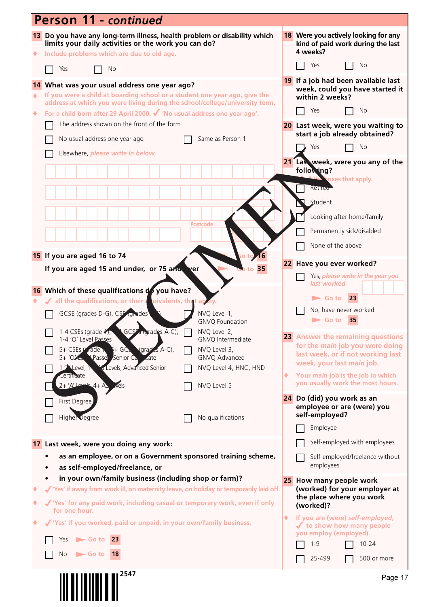|   | Person 11 - continued                                                                                                                                                          |                                        |   |                                                                                       |  |
|---|--------------------------------------------------------------------------------------------------------------------------------------------------------------------------------|----------------------------------------|---|---------------------------------------------------------------------------------------|--|
| ۰ | 13 Do you have any long-term illness, health problem or disability which<br>limits your daily activities or the work you can do?<br>Include problems which are due to old age. |                                        |   | 18 Were you actively looking for any<br>kind of paid work during the last<br>4 weeks? |  |
|   | Yes<br>No                                                                                                                                                                      |                                        |   | Yes<br>No                                                                             |  |
|   | 14 What was your usual address one year ago?                                                                                                                                   |                                        |   | 19 If a job had been available last                                                   |  |
| ٠ | If you were a child at boarding school or a student one year ago, give the<br>address at which you were living during the school/college/university term.                      |                                        |   | week, could you have started it<br>within 2 weeks?                                    |  |
| ۰ | For a child born after 29 April 2000, √ 'No usual address one year ago'.                                                                                                       |                                        |   | Yes<br>No                                                                             |  |
|   | The address shown on the front of the form                                                                                                                                     |                                        |   | 20 Last week, were you waiting to<br>start a job already obtained?                    |  |
|   | No usual address one year ago                                                                                                                                                  | Same as Person 1                       |   | <b>No</b><br><b>Yes</b>                                                               |  |
|   | Elsewhere, please write in below                                                                                                                                               |                                        |   | 21 Las week, were you any of the                                                      |  |
|   |                                                                                                                                                                                |                                        |   | following?                                                                            |  |
|   |                                                                                                                                                                                |                                        |   | oxes that apply.<br><b>Retireu-</b>                                                   |  |
|   |                                                                                                                                                                                |                                        |   | Student                                                                               |  |
|   |                                                                                                                                                                                |                                        |   | Looking after home/family                                                             |  |
|   |                                                                                                                                                                                | <b>Postcode</b>                        |   |                                                                                       |  |
|   |                                                                                                                                                                                |                                        |   | Permanently sick/disabled                                                             |  |
|   | 15 If you are aged 16 to 74                                                                                                                                                    |                                        |   | None of the above                                                                     |  |
|   | If you are aged 15 and under, or 75 and ver                                                                                                                                    | to 35                                  |   | 22 Have you ever worked?                                                              |  |
|   |                                                                                                                                                                                |                                        |   | Yes, please write in the year you<br>last worked                                      |  |
|   | 16 Which of these qualifications do you have?                                                                                                                                  |                                        |   | 23<br>$\blacktriangleright$ Go to                                                     |  |
| ۰ | If all the qualifications, or their cuivalents, that ap                                                                                                                        |                                        |   | No, have never worked                                                                 |  |
|   | GCSE (grades D-G), CSF (grades                                                                                                                                                 | NVQ Level 1,<br><b>GNVQ Foundation</b> |   | $\blacktriangleright$ Go to<br>35                                                     |  |
|   | $\overline{\mathcal{S}}$ (grades A-C),<br>1-4 CSEs (grade 4),<br>GCSF<br>1-4 'O' Level Passes                                                                                  | NVQ Level 2,<br>GNVQ Intermediate      |   | 23 Answer the remaining questions                                                     |  |
|   | $5 + CSEs$ ade<br>$+GC$<br>(grad & A-C),                                                                                                                                       | NVQ Level 3,                           |   | for the <i>main</i> job you were doing                                                |  |
|   | 5+ 'O' La Passe Senior Ce<br>kate<br>S Levels, Advanced Senior<br>$1'$ Level, $1$                                                                                              | GNVQ Advanced<br>NVQ Level 4, HNC, HND |   | last week, or if not working last<br>week, your last main job.                        |  |
|   | Certificate                                                                                                                                                                    |                                        | ۰ | Your main job is the job in which                                                     |  |
|   | $2 + 'A'$ Lough $4+A$                                                                                                                                                          | NVQ Level 5                            |   | you usually work the most hours.                                                      |  |
|   | First Degree                                                                                                                                                                   |                                        |   | 24 Do (did) you work as an<br>employee or are (were) you                              |  |
|   | Higher Degree                                                                                                                                                                  | No qualifications                      |   | self-employed?                                                                        |  |
|   |                                                                                                                                                                                |                                        |   | Employee                                                                              |  |
|   | 17 Last week, were you doing any work:                                                                                                                                         |                                        |   | Self-employed with employees                                                          |  |
|   | as an employee, or on a Government sponsored training scheme,                                                                                                                  |                                        |   | Self-employed/freelance without                                                       |  |
|   | as self-employed/freelance, or                                                                                                                                                 |                                        |   | employees                                                                             |  |
| ٠ | in your own/family business (including shop or farm)?<br>√ 'Yes' if away from work ill, on maternity leave, on holiday or temporarily laid off.                                |                                        |   | 25 How many people work<br>(worked) for your employer at                              |  |
| ٠ | √ 'Yes' for any paid work, including casual or temporary work, even if only<br>for one hour.                                                                                   |                                        |   | the place where you work<br>(worked)?                                                 |  |
| ٠ | √ 'Yes' if you worked, paid or unpaid, in your own/family business.                                                                                                            |                                        | ۰ | If you are (were) self-employed,<br>✔ to show how many people                         |  |
|   | $\blacktriangleright$ Go to 23<br>Yes                                                                                                                                          |                                        |   | you employ (employed).                                                                |  |
|   | No<br>18                                                                                                                                                                       |                                        |   | $1 - 9$<br>$10 - 24$                                                                  |  |
|   | $\blacktriangleright$ Go to                                                                                                                                                    |                                        |   | 500 or more<br>25-499                                                                 |  |
|   | 2547                                                                                                                                                                           |                                        |   | Page 17                                                                               |  |
|   |                                                                                                                                                                                |                                        |   |                                                                                       |  |
|   |                                                                                                                                                                                |                                        |   |                                                                                       |  |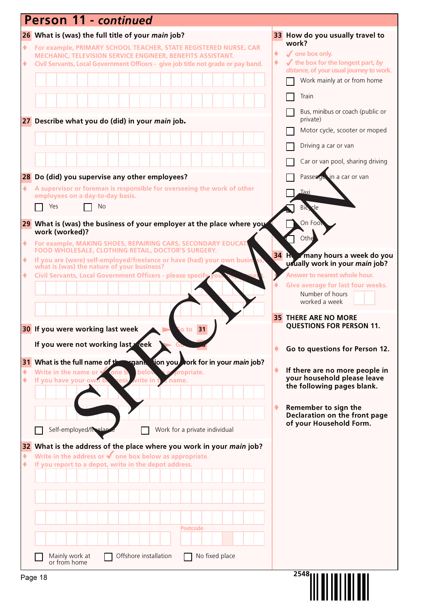|        | <b>Person 11 - continued</b>                                                                                                                                                                  |        |                                                                                                                                 |  |  |
|--------|-----------------------------------------------------------------------------------------------------------------------------------------------------------------------------------------------|--------|---------------------------------------------------------------------------------------------------------------------------------|--|--|
| ۰      | 26 What is (was) the full title of your main job?<br>For example, PRIMARY SCHOOL TEACHER, STATE REGISTERED NURSE, CAR                                                                         |        | 33 How do you usually travel to<br>work?                                                                                        |  |  |
| ۰      | MECHANIC, TELEVISION SERVICE ENGINEER, BENEFITS ASSISTANT.<br>Civil Servants, Local Government Officers - give job title not grade or pay band.                                               | ۰<br>٠ | $\sqrt{\ }$ one box only.<br>$\blacktriangleright$ the box for the longest part, by<br>distance, of your usual journey to work. |  |  |
|        |                                                                                                                                                                                               |        | Work mainly at or from home                                                                                                     |  |  |
|        |                                                                                                                                                                                               |        | Train                                                                                                                           |  |  |
|        | 27 Describe what you do (did) in your main job.                                                                                                                                               |        | Bus, minibus or coach (public or<br>private)<br>Motor cycle, scooter or moped                                                   |  |  |
|        |                                                                                                                                                                                               |        | Driving a car or van                                                                                                            |  |  |
|        |                                                                                                                                                                                               |        | Car or van pool, sharing driving                                                                                                |  |  |
|        | 28 Do (did) you supervise any other employees?                                                                                                                                                |        | in a car or van<br>Passenge                                                                                                     |  |  |
| ۰      | A supervisor or foreman is responsible for overseeing the work of other<br>employees on a day-to-day basis.                                                                                   |        | Iaxi                                                                                                                            |  |  |
|        | Yes<br>No.                                                                                                                                                                                    |        | Bio<br>cle<br>On Foo                                                                                                            |  |  |
|        | 29 What is (was) the business of your employer at the place where you<br>work (worked)?                                                                                                       |        | Othe                                                                                                                            |  |  |
| ۰<br>۰ | For example, MAKING SHOES, REPAIRING CARS, SECONDARY EDUCAT<br>FOOD WHOLESALE, CLOTHING RETAIL, DOCTOR'S SURGERY.<br>If you are (were) self-employed/freelance or have (had) your own busin   |        | 34 H many hours a week do you                                                                                                   |  |  |
| ۰      | what is (was) the nature of your business?<br>Civil Servants, Local Government Officers - please specify                                                                                      |        | usually work in your main job?<br>Answer to nearest whole hour.                                                                 |  |  |
|        |                                                                                                                                                                                               |        | Give average for last four weeks.<br>Number of hours<br>worked a week                                                           |  |  |
|        |                                                                                                                                                                                               |        | <b>35 THERE ARE NO MORE</b>                                                                                                     |  |  |
|        | 30 If you were working last week<br>31                                                                                                                                                        |        | <b>QUESTIONS FOR PERSON 11.</b>                                                                                                 |  |  |
|        | If you were not working last reek                                                                                                                                                             |        | Go to questions for Person 12.                                                                                                  |  |  |
| ٠<br>٠ | 31 What is the full name of the<br><b>rganis</b> fon you vork for in your main job?<br>Write in the name or<br>belov<br>propriate.<br>one b<br>If you have your own b<br>vrite in ti<br>name. |        | If there are no more people in<br>your household please leave<br>the following pages blank.                                     |  |  |
|        |                                                                                                                                                                                               | ٠      | Remember to sign the                                                                                                            |  |  |
|        | Self-employed/finelan<br>Work for a private individual                                                                                                                                        |        | Declaration on the front page<br>of your Household Form.                                                                        |  |  |
| 32     | What is the address of the place where you work in your main job?                                                                                                                             |        |                                                                                                                                 |  |  |
| ۰<br>۰ | Write in the address or $\blacklozenge$ one box below as appropriate.<br>If you report to a depot, write in the depot address.                                                                |        |                                                                                                                                 |  |  |
|        |                                                                                                                                                                                               |        |                                                                                                                                 |  |  |
|        |                                                                                                                                                                                               |        |                                                                                                                                 |  |  |
|        | <b>Postcode</b>                                                                                                                                                                               |        |                                                                                                                                 |  |  |
|        | Mainly work at<br>Offshore installation<br>No fixed place<br>or from home                                                                                                                     |        |                                                                                                                                 |  |  |
|        | Page 18                                                                                                                                                                                       |        | $^{2548}$ III                                                                                                                   |  |  |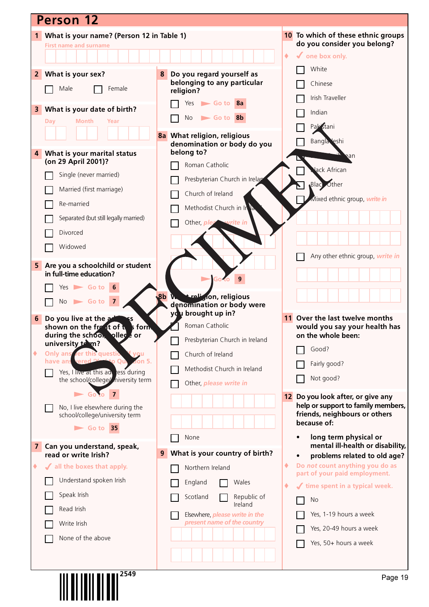|                         | Person 12                                                                 |                                                            |                 |                                                                              |
|-------------------------|---------------------------------------------------------------------------|------------------------------------------------------------|-----------------|------------------------------------------------------------------------------|
|                         | 1 What is your name? (Person 12 in Table 1)                               |                                                            |                 | 10 To which of these ethnic groups                                           |
|                         | <b>First name and surname</b>                                             |                                                            |                 | do you consider you belong?                                                  |
|                         |                                                                           |                                                            | $\blacklozenge$ | $\checkmark$ one box only.                                                   |
| 2 <sup>1</sup>          | What is your sex?                                                         | Do you regard yourself as<br>8                             |                 | White                                                                        |
|                         | Male<br>Female                                                            | belonging to any particular<br>religion?                   |                 | Chinese                                                                      |
|                         |                                                                           | Yes Go to 8a                                               |                 | Irish Traveller                                                              |
| 3                       | What is your date of birth?                                               | Go to 8b<br>No                                             |                 | Indian                                                                       |
|                         | Month<br>Day<br>Year                                                      |                                                            |                 | Pal <sup>z</sup> stani                                                       |
|                         |                                                                           | 8a What religion, religious<br>denomination or body do you |                 | <b>Bangla</b> eshi                                                           |
| 4                       | What is your marital status                                               | belong to?                                                 |                 | an                                                                           |
|                         | (on 29 April 2001)?                                                       | Roman Catholic                                             |                 | ack African                                                                  |
|                         | Single (never married)                                                    | Presbyterian Church in Irelar                              |                 | <b>Blac</b> Other                                                            |
|                         | Married (first marriage)                                                  | Church of Ireland                                          |                 |                                                                              |
|                         | Re-married                                                                | Methodist Church in In                                     |                 | Mixed ethnic group, write in                                                 |
|                         | Separated (but still legally married)                                     | <b>Aurite</b> in<br>Other, plea                            |                 |                                                                              |
|                         | Divorced                                                                  |                                                            |                 |                                                                              |
|                         | Widowed                                                                   |                                                            |                 |                                                                              |
|                         |                                                                           |                                                            |                 | Any other ethnic group, write in                                             |
| 5 <sub>1</sub>          | Are you a schoolchild or student<br>in full-time education?               |                                                            |                 |                                                                              |
|                         | $Yes$ Go to 6                                                             | 9                                                          |                 |                                                                              |
|                         | $No \rightharpoonup Go$ to 7                                              | We traligion, religious<br>8 <sub>b</sub>                  |                 |                                                                              |
|                         |                                                                           | denomination or body were<br>you brought up in?            |                 | 11 Over the last twelve months                                               |
| 6                       | Do you live at the a<br>shown on the freat of this form                   | Roman Catholic                                             |                 | would you say your health has                                                |
|                         | during the school, ollege or<br>university to m?                          | Presbyterian Church in Ireland                             |                 | on the whole been:                                                           |
| ۰                       | Only answer this questic                                                  | Church of Ireland                                          |                 | Good?                                                                        |
|                         | o Out<br><b>don 5.</b><br>have ans                                        | Methodist Church in Ireland                                |                 | Fairly good?                                                                 |
|                         | Yes, I live at this adv ress during<br>the school/college/ niversity term | Other, please write in                                     |                 | Not good?                                                                    |
|                         | $\overline{7}$<br>$\blacktriangleright$ Go to                             |                                                            | 12 <sup>2</sup> | Do you look after, or give any                                               |
|                         | No, I live elsewhere during the                                           |                                                            |                 | help or support to family members,                                           |
|                         | school/college/university term                                            |                                                            |                 | friends, neighbours or others<br>because of:                                 |
|                         | $\triangleright$ Go to 35                                                 | None                                                       |                 | long term physical or                                                        |
| $\overline{\mathbf{z}}$ | Can you understand, speak,                                                |                                                            |                 | mental ill-health or disability,                                             |
|                         | read or write Irish?                                                      | What is your country of birth?<br>9                        | ۰               | problems related to old age?<br>$\bullet$<br>Do not count anything you do as |
| ٠                       | √ all the boxes that apply.                                               | Northern Ireland                                           |                 | part of your paid employment.                                                |
|                         | Understand spoken Irish                                                   | England<br>Wales                                           | ٠               | $\blacktriangleright$ time spent in a typical week.                          |
|                         | Speak Irish                                                               | Scotland<br>Republic of<br>Ireland                         |                 | No                                                                           |
|                         | Read Irish                                                                | Elsewhere, please write in the                             |                 | Yes, 1-19 hours a week                                                       |
|                         | Write Irish                                                               | present name of the country                                |                 | Yes, 20-49 hours a week                                                      |
|                         | None of the above                                                         |                                                            |                 | Yes, 50+ hours a week                                                        |
|                         |                                                                           |                                                            |                 |                                                                              |
|                         |                                                                           |                                                            |                 |                                                                              |
|                         | $111$ <b>III</b> $111$ <b>III</b> $11$ $11^{2549}$                        |                                                            |                 | Page 19                                                                      |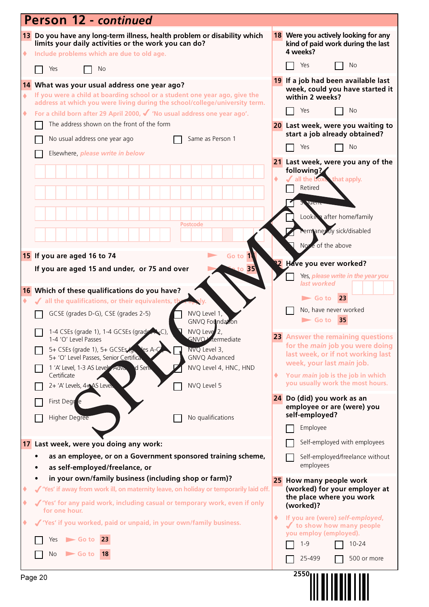|   | Person 12 - continued                                                                                                                                                          |   |                                                                                       |  |  |
|---|--------------------------------------------------------------------------------------------------------------------------------------------------------------------------------|---|---------------------------------------------------------------------------------------|--|--|
| ٠ | 13 Do you have any long-term illness, health problem or disability which<br>limits your daily activities or the work you can do?<br>Include problems which are due to old age. |   | 18 Were you actively looking for any<br>kind of paid work during the last<br>4 weeks? |  |  |
|   | Yes<br><b>No</b>                                                                                                                                                               |   | Yes<br>No                                                                             |  |  |
|   | 14 What was your usual address one year ago?                                                                                                                                   |   | 19 If a job had been available last<br>week, could you have started it                |  |  |
| ۰ | If you were a child at boarding school or a student one year ago, give the<br>address at which you were living during the school/college/university term.                      |   | within 2 weeks?                                                                       |  |  |
| ۰ | For a child born after 29 April 2000, $\checkmark$ 'No usual address one year ago'.                                                                                            |   | Yes<br>No                                                                             |  |  |
|   | The address shown on the front of the form                                                                                                                                     |   | 20 Last week, were you waiting to<br>start a job already obtained?                    |  |  |
|   | No usual address one year ago<br>Same as Person 1                                                                                                                              |   | Yes<br>No                                                                             |  |  |
|   | Elsewhere, please write in below                                                                                                                                               |   | 21 Last week, were you any of the                                                     |  |  |
|   |                                                                                                                                                                                |   | following?<br>that apply.<br>Soll the boxe                                            |  |  |
|   |                                                                                                                                                                                |   | Retired                                                                               |  |  |
|   |                                                                                                                                                                                |   | <b>NOGHE</b>                                                                          |  |  |
|   | <b>Postcode</b>                                                                                                                                                                |   | Looking after home/family<br>Permanez dy sick/disabled                                |  |  |
|   |                                                                                                                                                                                |   | No e of the above                                                                     |  |  |
|   | 15 If you are aged 16 to 74<br>Go to 1                                                                                                                                         |   |                                                                                       |  |  |
|   | If you are aged 15 and under, or 75 and over                                                                                                                                   |   | 22 Have you ever worked?<br>Yes, <i>please write in the year you</i>                  |  |  |
|   | 16 Which of these qualifications do you have?                                                                                                                                  |   | last worked                                                                           |  |  |
|   | √ all the qualifications, or their equivalents, t                                                                                                                              |   | 23<br>$\blacktriangleright$ Go to                                                     |  |  |
|   | NVQ Level 1,<br>GCSE (grades D-G), CSE (grades 2-5)<br>GNVQ Foundation                                                                                                         |   | No, have never worked<br>$\blacktriangleright$ Go to<br>35                            |  |  |
|   | NVQ Leve 2,<br>1-4 CSEs (grade 1), 1-4 GCSEs (grade A-C),<br>GNVO / termediate<br>1-4 'O' Level Passes                                                                         |   | 23 Answer the remaining questions                                                     |  |  |
|   | NVQ Level 3,<br>5+ CSEs (grade 1), 5+ GCSEs (g.<br>Nes A-C                                                                                                                     |   | for the <i>main</i> job you were doing<br>last week, or if not working last           |  |  |
|   | 5+ 'O' Level Passes, Senior Certifica<br>GNVQ Advanced<br>d Sen<br>NVQ Level 4, HNC, HND<br>1 'A' Level, 1-3 AS Levels, Adva                                                   |   | week, your last main job.                                                             |  |  |
|   | Certificate<br>NVQ Level 5<br>2+ 'A' Levels, 4+ AS Levels                                                                                                                      | ۰ | Your main job is the job in which<br>you usually work the most hours.                 |  |  |
|   | First Degr                                                                                                                                                                     |   | 24 Do (did) you work as an                                                            |  |  |
|   | <b>Higher Degree</b><br>No qualifications                                                                                                                                      |   | employee or are (were) you<br>self-employed?                                          |  |  |
|   |                                                                                                                                                                                |   | Employee                                                                              |  |  |
|   | 17 Last week, were you doing any work:                                                                                                                                         |   | Self-employed with employees                                                          |  |  |
|   | as an employee, or on a Government sponsored training scheme,                                                                                                                  |   | Self-employed/freelance without<br>employees                                          |  |  |
|   | as self-employed/freelance, or<br>in your own/family business (including shop or farm)?                                                                                        |   | 25 How many people work                                                               |  |  |
| ٠ | √ 'Yes' if away from work ill, on maternity leave, on holiday or temporarily laid off.                                                                                         |   | (worked) for your employer at<br>the place where you work                             |  |  |
| ۰ | √ 'Yes' for any paid work, including casual or temporary work, even if only<br>for one hour.                                                                                   |   | (worked)?                                                                             |  |  |
|   | √ 'Yes' if you worked, paid or unpaid, in your own/family business.                                                                                                            | ۰ | If you are (were) self-employed,<br>$\checkmark$ to show how many people              |  |  |
|   | $\triangleright$ Go to 23<br>Yes                                                                                                                                               |   | you employ (employed).<br>$1 - 9$<br>$10 - 24$                                        |  |  |
|   | No<br>$\blacktriangleright$ Go to<br>18                                                                                                                                        |   | 25-499<br>500 or more                                                                 |  |  |
|   |                                                                                                                                                                                |   | 2550                                                                                  |  |  |
|   | Page 20                                                                                                                                                                        |   |                                                                                       |  |  |
|   |                                                                                                                                                                                |   |                                                                                       |  |  |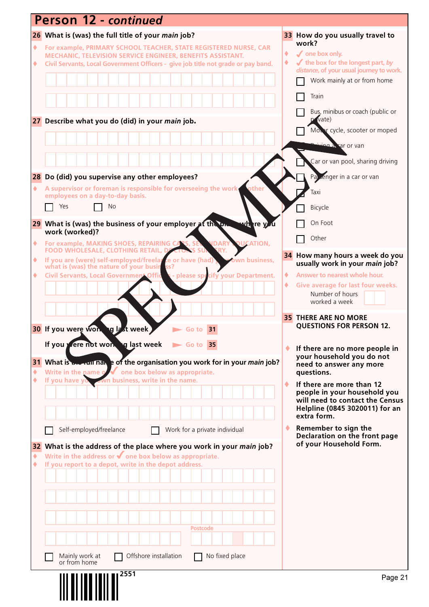| Person 12 - continued |                                                                                                                                |        |                                                                                                    |  |
|-----------------------|--------------------------------------------------------------------------------------------------------------------------------|--------|----------------------------------------------------------------------------------------------------|--|
|                       | 26 What is (was) the full title of your main job?                                                                              |        | 33 How do you usually travel to                                                                    |  |
| ۰                     | For example, PRIMARY SCHOOL TEACHER, STATE REGISTERED NURSE, CAR<br>MECHANIC, TELEVISION SERVICE ENGINEER, BENEFITS ASSISTANT. | ۰      | work?<br>$\boldsymbol{\checkmark}$ one box only.                                                   |  |
| ۰                     | Civil Servants, Local Government Officers - give job title not grade or pay band.                                              | ۰      | $\blacktriangleright$ the box for the longest part, by<br>distance, of your usual journey to work. |  |
|                       |                                                                                                                                |        | Work mainly at or from home                                                                        |  |
|                       |                                                                                                                                |        | Train                                                                                              |  |
|                       |                                                                                                                                |        | Bus, minibus or coach (public or                                                                   |  |
|                       | 27 Describe what you do (did) in your main job.                                                                                |        | (vate)<br>Motor cycle, scooter or moped                                                            |  |
|                       |                                                                                                                                |        | <b>ing a sar</b> or van                                                                            |  |
|                       |                                                                                                                                |        | Car or van pool, sharing driving                                                                   |  |
|                       | 28 Do (did) you supervise any other employees?                                                                                 |        | Pa senger in a car or van                                                                          |  |
| ۰                     | A supervisor or foreman is responsible for overseeing the work<br>other                                                        |        | Taxi                                                                                               |  |
|                       | employees on a day-to-day basis.<br>Yes<br>No                                                                                  |        | Bicycle                                                                                            |  |
|                       | 29 What is (was) the business of your employer at the present<br>where you                                                     |        | On Foot                                                                                            |  |
|                       | work (worked)?                                                                                                                 |        | Other                                                                                              |  |
| ۰                     | For example, MAKING SHOES, REPAIRING CARS, SE<br>UCATION.<br>IDAR'<br><b>FOOD WHOLESALE, CLOTHING RETAIL, DO</b>               |        |                                                                                                    |  |
| ۰                     | If you are (were) self-employed/freelarce or have (had)<br>own business,<br>what is (was) the nature of your busin<br>ss?      |        | 34 How many hours a week do you<br>usually work in your main job?                                  |  |
| ٠                     | <b>Civil Servants, Local Government Offic</b><br>s - please specify your Department.                                           | ۰<br>۰ | Answer to nearest whole hour.<br>Give average for last four weeks.                                 |  |
|                       |                                                                                                                                |        | Number of hours                                                                                    |  |
|                       |                                                                                                                                |        | worked a week                                                                                      |  |
|                       | 30 If you were wond glast week<br>$\blacktriangleright$ Go to<br>31                                                            |        | <b>35 THERE ARE NO MORE</b><br><b>QUESTIONS FOR PERSON 12.</b>                                     |  |
|                       | If you y'ere not working last week<br>$\triangleright$ Go to 35                                                                |        |                                                                                                    |  |
|                       | 31 What is the rull han e of the organisation you work for in your main job?                                                   |        | If there are no more people in<br>your household you do not                                        |  |
| ۰                     | Write in the name of<br>◆ one box below as appropriate.                                                                        |        | need to answer any more<br>questions.                                                              |  |
| ۰                     | If you have yo<br>own business, write in the name.                                                                             |        | If there are more than 12<br>people in your household you                                          |  |
|                       |                                                                                                                                |        | will need to contact the Census<br>Helpline (0845 3020011) for an                                  |  |
|                       |                                                                                                                                |        | extra form.                                                                                        |  |
|                       | Self-employed/freelance<br>Work for a private individual                                                                       |        | Remember to sign the<br>Declaration on the front page                                              |  |
|                       | 32 What is the address of the place where you work in your main job?                                                           |        | of your Household Form.                                                                            |  |
| ۰<br>۰                | Write in the address or $\blacklozenge$ one box below as appropriate.<br>If you report to a depot, write in the depot address. |        |                                                                                                    |  |
|                       |                                                                                                                                |        |                                                                                                    |  |
|                       |                                                                                                                                |        |                                                                                                    |  |
|                       |                                                                                                                                |        |                                                                                                    |  |
|                       | <b>Postcode</b>                                                                                                                |        |                                                                                                    |  |
|                       |                                                                                                                                |        |                                                                                                    |  |
|                       | Offshore installation<br>Mainly work at<br>No fixed place<br>or from home                                                      |        |                                                                                                    |  |
|                       | 2551                                                                                                                           |        | Page 21                                                                                            |  |
|                       |                                                                                                                                |        |                                                                                                    |  |
|                       |                                                                                                                                |        |                                                                                                    |  |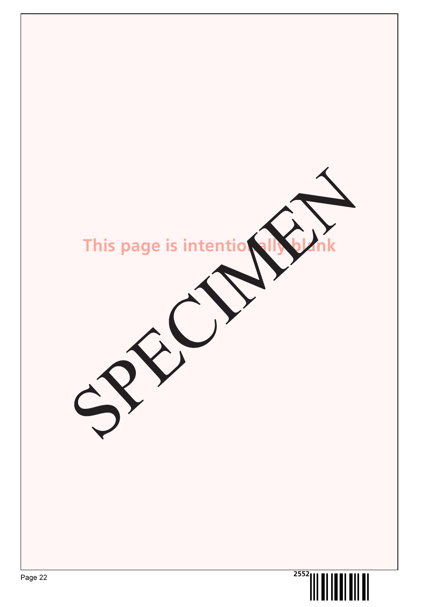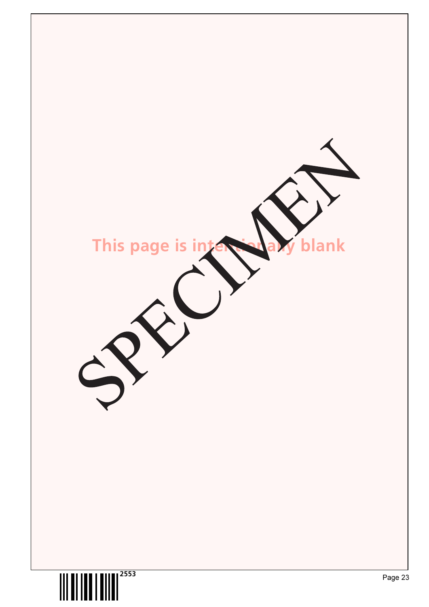